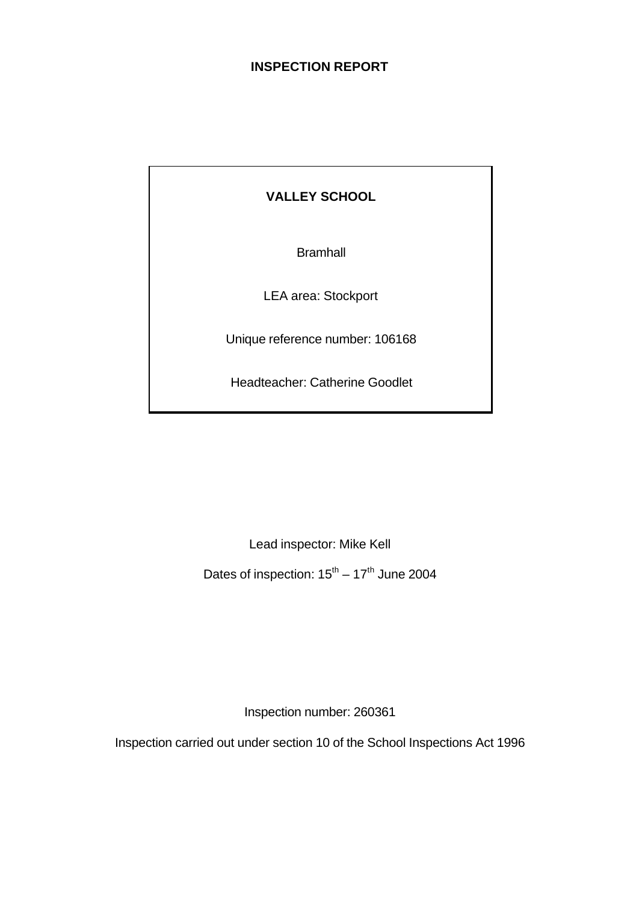#### **INSPECTION REPORT**

# **VALLEY SCHOOL**

**Bramhall** 

LEA area: Stockport

Unique reference number: 106168

Headteacher: Catherine Goodlet

Lead inspector: Mike Kell

Dates of inspection:  $15^{\text{th}} - 17^{\text{th}}$  June 2004

Inspection number: 260361

Inspection carried out under section 10 of the School Inspections Act 1996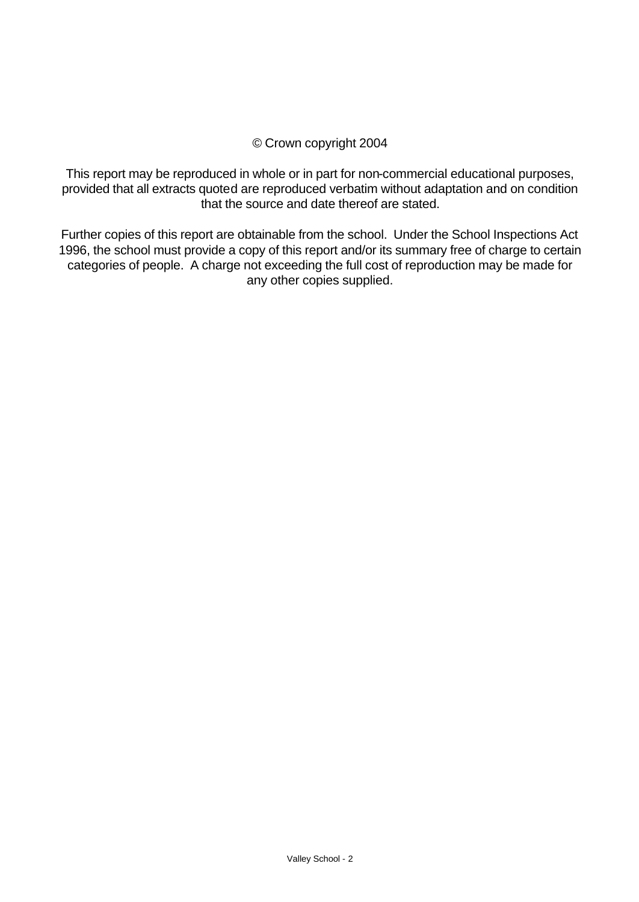#### © Crown copyright 2004

This report may be reproduced in whole or in part for non-commercial educational purposes, provided that all extracts quoted are reproduced verbatim without adaptation and on condition that the source and date thereof are stated.

Further copies of this report are obtainable from the school. Under the School Inspections Act 1996, the school must provide a copy of this report and/or its summary free of charge to certain categories of people. A charge not exceeding the full cost of reproduction may be made for any other copies supplied.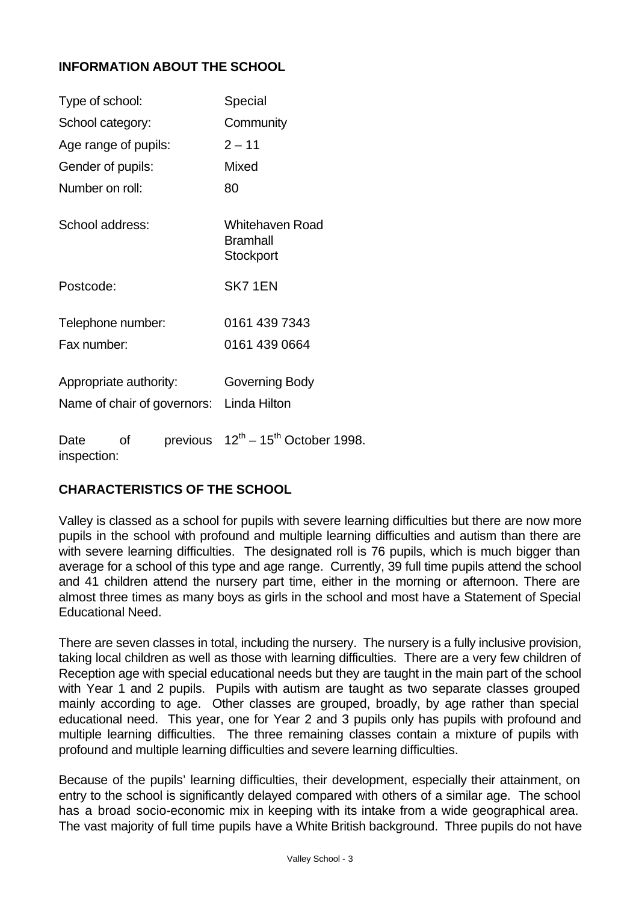## **INFORMATION ABOUT THE SCHOOL**

| Type of school:        |    |                             | Special                                         |
|------------------------|----|-----------------------------|-------------------------------------------------|
| School category:       |    |                             | Community                                       |
| Age range of pupils:   |    |                             | $2 - 11$                                        |
| Gender of pupils:      |    |                             | Mixed                                           |
| Number on roll:        |    |                             | 80                                              |
| School address:        |    |                             | Whitehaven Road<br><b>Bramhall</b><br>Stockport |
| Postcode:              |    |                             | SK71EN                                          |
| Telephone number:      |    |                             | 0161 439 7343                                   |
| Fax number:            |    |                             | 0161 439 0664                                   |
| Appropriate authority: |    | Name of chair of governors: | Governing Body<br>Linda Hilton                  |
| Date<br>inspection:    | οf |                             | previous $12^{th} - 15^{th}$ October 1998.      |

## **CHARACTERISTICS OF THE SCHOOL**

Valley is classed as a school for pupils with severe learning difficulties but there are now more pupils in the school with profound and multiple learning difficulties and autism than there are with severe learning difficulties. The designated roll is 76 pupils, which is much bigger than average for a school of this type and age range. Currently, 39 full time pupils attend the school and 41 children attend the nursery part time, either in the morning or afternoon. There are almost three times as many boys as girls in the school and most have a Statement of Special Educational Need.

There are seven classes in total, including the nursery. The nursery is a fully inclusive provision, taking local children as well as those with learning difficulties. There are a very few children of Reception age with special educational needs but they are taught in the main part of the school with Year 1 and 2 pupils. Pupils with autism are taught as two separate classes grouped mainly according to age. Other classes are grouped, broadly, by age rather than special educational need. This year, one for Year 2 and 3 pupils only has pupils with profound and multiple learning difficulties. The three remaining classes contain a mixture of pupils with profound and multiple learning difficulties and severe learning difficulties.

Because of the pupils' learning difficulties, their development, especially their attainment, on entry to the school is significantly delayed compared with others of a similar age. The school has a broad socio-economic mix in keeping with its intake from a wide geographical area. The vast majority of full time pupils have a White British background. Three pupils do not have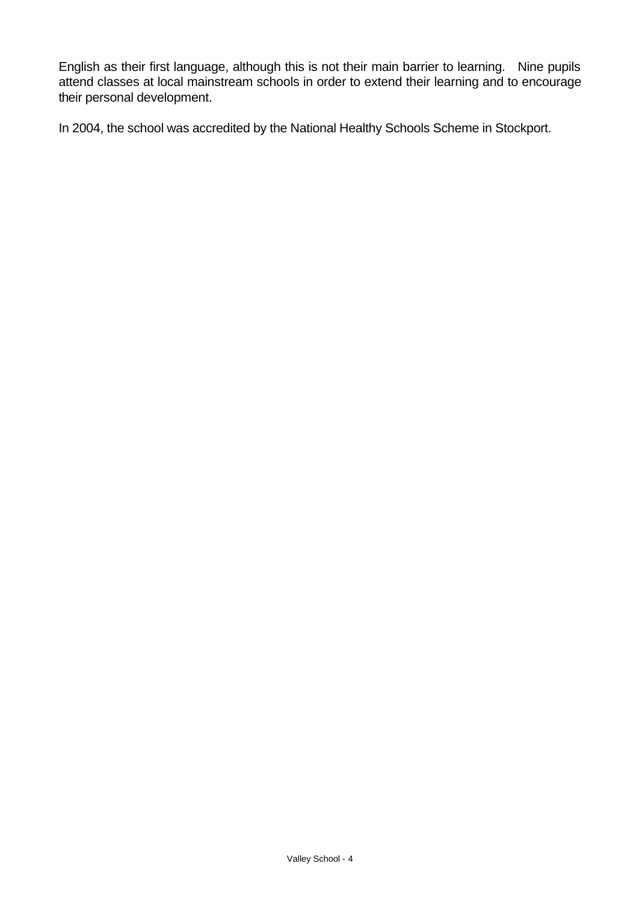English as their first language, although this is not their main barrier to learning. Nine pupils attend classes at local mainstream schools in order to extend their learning and to encourage their personal development.

In 2004, the school was accredited by the National Healthy Schools Scheme in Stockport.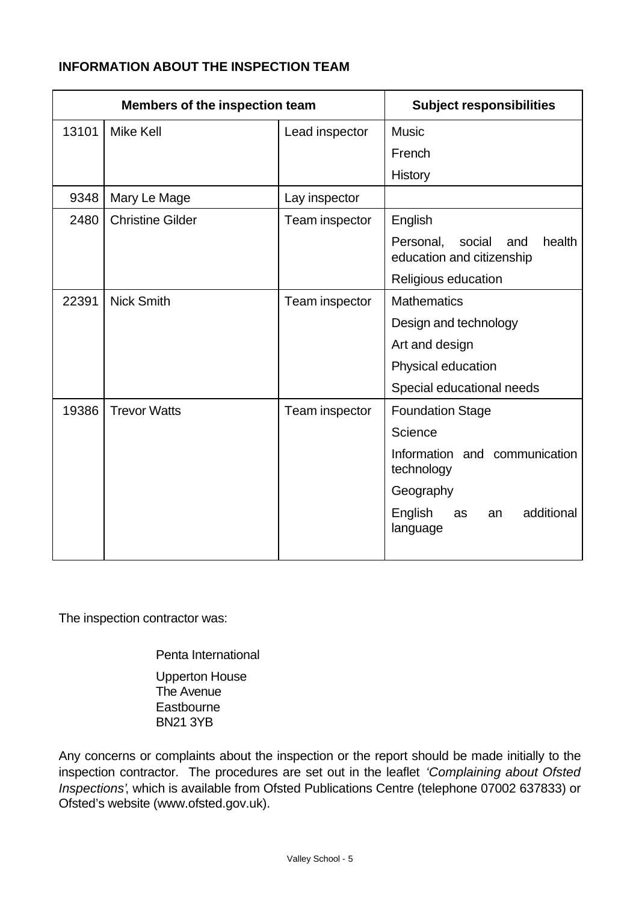#### **INFORMATION ABOUT THE INSPECTION TEAM**

| Members of the inspection team |                         | <b>Subject responsibilities</b> |                                                                   |  |  |
|--------------------------------|-------------------------|---------------------------------|-------------------------------------------------------------------|--|--|
| 13101                          | <b>Mike Kell</b>        | Lead inspector                  | <b>Music</b>                                                      |  |  |
|                                |                         |                                 | French                                                            |  |  |
|                                |                         |                                 | <b>History</b>                                                    |  |  |
| 9348                           | Mary Le Mage            | Lay inspector                   |                                                                   |  |  |
| 2480                           | <b>Christine Gilder</b> | Team inspector                  | English                                                           |  |  |
|                                |                         |                                 | health<br>Personal,<br>social<br>and<br>education and citizenship |  |  |
|                                |                         |                                 | Religious education                                               |  |  |
| 22391                          | <b>Nick Smith</b>       | Team inspector                  | <b>Mathematics</b>                                                |  |  |
|                                |                         |                                 | Design and technology                                             |  |  |
|                                |                         |                                 | Art and design                                                    |  |  |
|                                |                         |                                 | Physical education                                                |  |  |
|                                |                         |                                 | Special educational needs                                         |  |  |
| 19386                          | <b>Trevor Watts</b>     | Team inspector                  | <b>Foundation Stage</b>                                           |  |  |
|                                |                         |                                 | Science                                                           |  |  |
|                                |                         |                                 | Information and communication<br>technology                       |  |  |
|                                |                         |                                 | Geography                                                         |  |  |
|                                |                         |                                 | additional<br>English<br>as<br>an<br>language                     |  |  |
|                                |                         |                                 |                                                                   |  |  |

The inspection contractor was:

Penta International Upperton House The Avenue **Eastbourne** BN21 3YB

Any concerns or complaints about the inspection or the report should be made initially to the inspection contractor. The procedures are set out in the leaflet *'Complaining about Ofsted Inspections'*, which is available from Ofsted Publications Centre (telephone 07002 637833) or Ofsted's website (www.ofsted.gov.uk).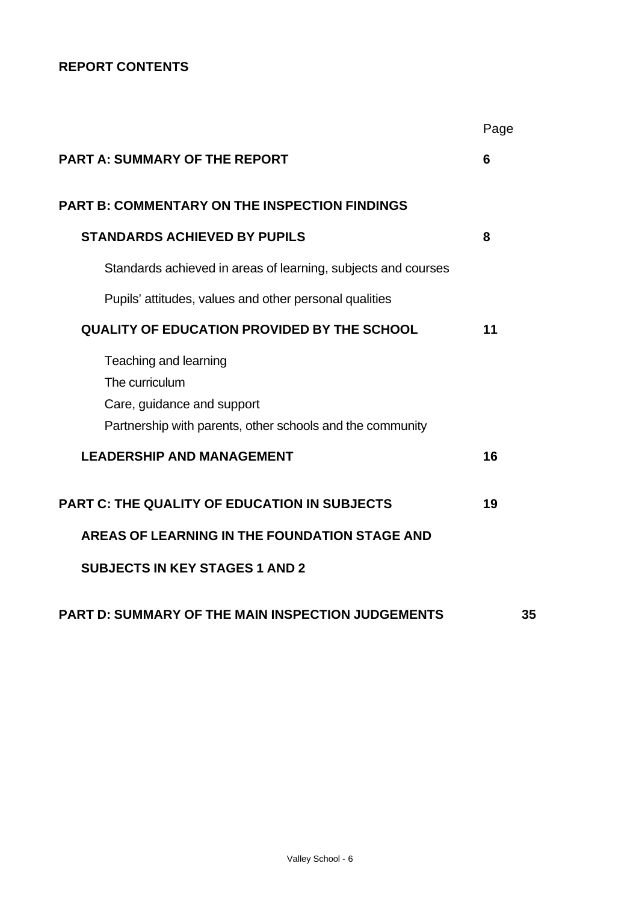# **REPORT CONTENTS**

|                                                                                                                                    | Page |
|------------------------------------------------------------------------------------------------------------------------------------|------|
| <b>PART A: SUMMARY OF THE REPORT</b>                                                                                               | 6    |
| <b>PART B: COMMENTARY ON THE INSPECTION FINDINGS</b>                                                                               |      |
| <b>STANDARDS ACHIEVED BY PUPILS</b>                                                                                                | 8    |
| Standards achieved in areas of learning, subjects and courses                                                                      |      |
| Pupils' attitudes, values and other personal qualities                                                                             |      |
| <b>QUALITY OF EDUCATION PROVIDED BY THE SCHOOL</b>                                                                                 | 11   |
| Teaching and learning<br>The curriculum<br>Care, guidance and support<br>Partnership with parents, other schools and the community |      |
| <b>LEADERSHIP AND MANAGEMENT</b>                                                                                                   | 16   |
| <b>PART C: THE QUALITY OF EDUCATION IN SUBJECTS</b>                                                                                | 19   |
| AREAS OF LEARNING IN THE FOUNDATION STAGE AND                                                                                      |      |
| <b>SUBJECTS IN KEY STAGES 1 AND 2</b>                                                                                              |      |
| <b>PART D: SUMMARY OF THE MAIN INSPECTION JUDGEMENTS</b>                                                                           | 35   |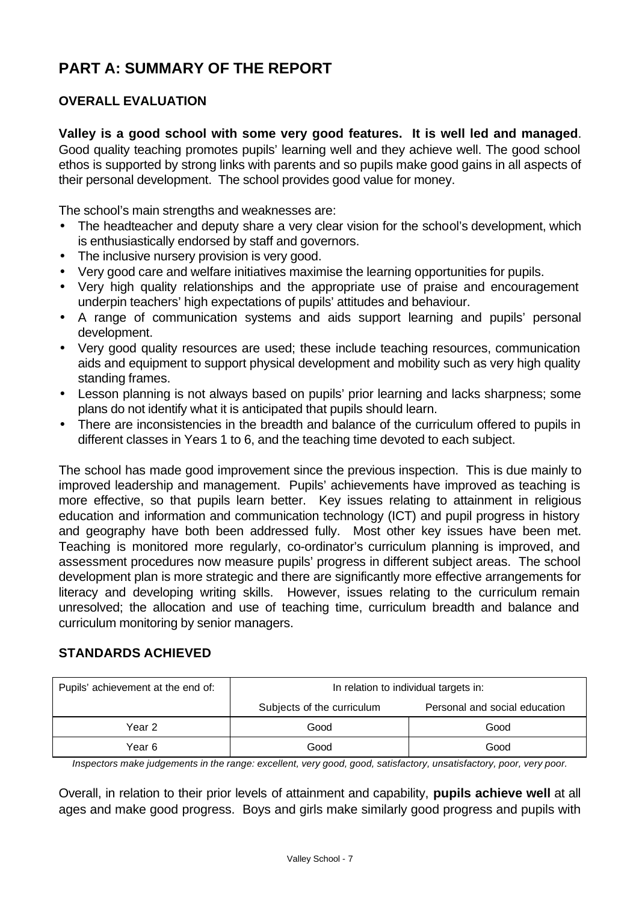# **PART A: SUMMARY OF THE REPORT**

## **OVERALL EVALUATION**

**Valley is a good school with some very good features. It is well led and managed**. Good quality teaching promotes pupils' learning well and they achieve well. The good school ethos is supported by strong links with parents and so pupils make good gains in all aspects of their personal development. The school provides good value for money.

The school's main strengths and weaknesses are:

- The headteacher and deputy share a very clear vision for the school's development, which is enthusiastically endorsed by staff and governors.
- The inclusive nursery provision is very good.
- Very good care and welfare initiatives maximise the learning opportunities for pupils.
- Very high quality relationships and the appropriate use of praise and encouragement underpin teachers' high expectations of pupils' attitudes and behaviour.
- A range of communication systems and aids support learning and pupils' personal development.
- Very good quality resources are used; these include teaching resources, communication aids and equipment to support physical development and mobility such as very high quality standing frames.
- Lesson planning is not always based on pupils' prior learning and lacks sharpness; some plans do not identify what it is anticipated that pupils should learn.
- There are inconsistencies in the breadth and balance of the curriculum offered to pupils in different classes in Years 1 to 6, and the teaching time devoted to each subject.

The school has made good improvement since the previous inspection. This is due mainly to improved leadership and management. Pupils' achievements have improved as teaching is more effective, so that pupils learn better. Key issues relating to attainment in religious education and information and communication technology (ICT) and pupil progress in history and geography have both been addressed fully. Most other key issues have been met. Teaching is monitored more regularly, co-ordinator's curriculum planning is improved, and assessment procedures now measure pupils' progress in different subject areas. The school development plan is more strategic and there are significantly more effective arrangements for literacy and developing writing skills. However, issues relating to the curriculum remain unresolved; the allocation and use of teaching time, curriculum breadth and balance and curriculum monitoring by senior managers.

## **STANDARDS ACHIEVED**

| Pupils' achievement at the end of: | In relation to individual targets in: |                               |  |  |
|------------------------------------|---------------------------------------|-------------------------------|--|--|
|                                    | Subjects of the curriculum            | Personal and social education |  |  |
| Year 2                             | Good                                  | Good                          |  |  |
| Year 6                             | Good                                  | Good                          |  |  |

*Inspectors make judgements in the range: excellent, very good, good, satisfactory, unsatisfactory, poor, very poor.*

Overall, in relation to their prior levels of attainment and capability, **pupils achieve well** at all ages and make good progress. Boys and girls make similarly good progress and pupils with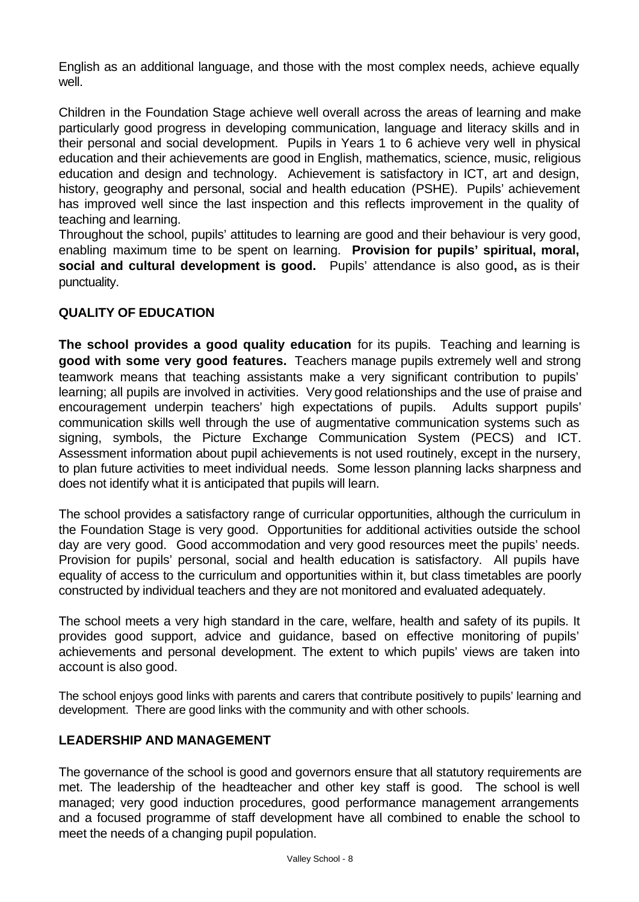English as an additional language, and those with the most complex needs, achieve equally well.

Children in the Foundation Stage achieve well overall across the areas of learning and make particularly good progress in developing communication, language and literacy skills and in their personal and social development. Pupils in Years 1 to 6 achieve very well in physical education and their achievements are good in English, mathematics, science, music, religious education and design and technology. Achievement is satisfactory in ICT, art and design, history, geography and personal, social and health education (PSHE). Pupils' achievement has improved well since the last inspection and this reflects improvement in the quality of teaching and learning.

Throughout the school, pupils' attitudes to learning are good and their behaviour is very good, enabling maximum time to be spent on learning. **Provision for pupils' spiritual, moral, social and cultural development is good.** Pupils' attendance is also good**,** as is their punctuality.

## **QUALITY OF EDUCATION**

**The school provides a good quality education** for its pupils. Teaching and learning is **good with some very good features.** Teachers manage pupils extremely well and strong teamwork means that teaching assistants make a very significant contribution to pupils' learning; all pupils are involved in activities. Very good relationships and the use of praise and encouragement underpin teachers' high expectations of pupils. Adults support pupils' communication skills well through the use of augmentative communication systems such as signing, symbols, the Picture Exchange Communication System (PECS) and ICT. Assessment information about pupil achievements is not used routinely, except in the nursery, to plan future activities to meet individual needs. Some lesson planning lacks sharpness and does not identify what it is anticipated that pupils will learn.

The school provides a satisfactory range of curricular opportunities, although the curriculum in the Foundation Stage is very good. Opportunities for additional activities outside the school day are very good. Good accommodation and very good resources meet the pupils' needs. Provision for pupils' personal, social and health education is satisfactory. All pupils have equality of access to the curriculum and opportunities within it, but class timetables are poorly constructed by individual teachers and they are not monitored and evaluated adequately.

The school meets a very high standard in the care, welfare, health and safety of its pupils. It provides good support, advice and guidance, based on effective monitoring of pupils' achievements and personal development. The extent to which pupils' views are taken into account is also good.

The school enjoys good links with parents and carers that contribute positively to pupils' learning and development. There are good links with the community and with other schools.

## **LEADERSHIP AND MANAGEMENT**

The governance of the school is good and governors ensure that all statutory requirements are met. The leadership of the headteacher and other key staff is good. The school is well managed; very good induction procedures, good performance management arrangements and a focused programme of staff development have all combined to enable the school to meet the needs of a changing pupil population.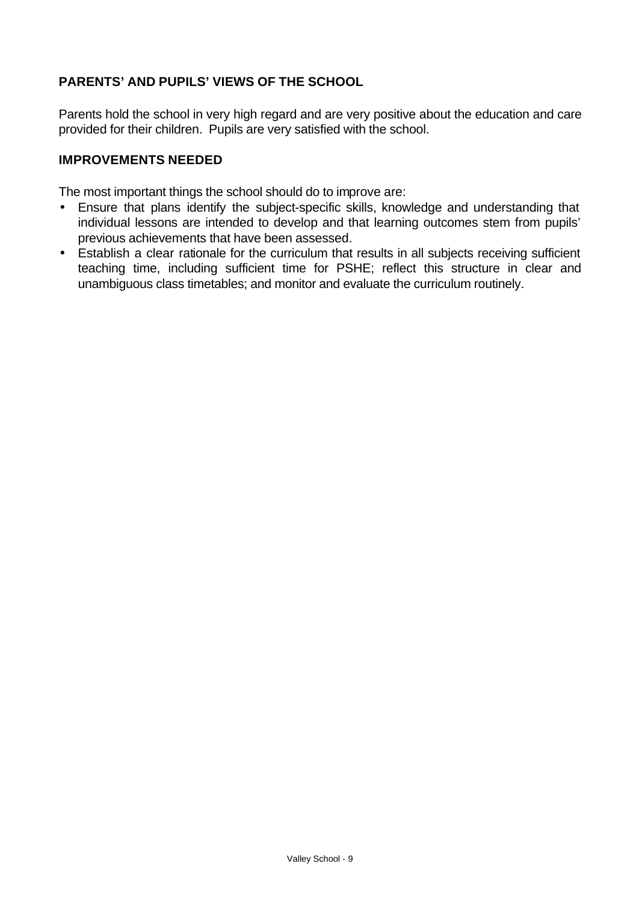## **PARENTS' AND PUPILS' VIEWS OF THE SCHOOL**

Parents hold the school in very high regard and are very positive about the education and care provided for their children. Pupils are very satisfied with the school.

#### **IMPROVEMENTS NEEDED**

The most important things the school should do to improve are:

- Ensure that plans identify the subject-specific skills, knowledge and understanding that individual lessons are intended to develop and that learning outcomes stem from pupils' previous achievements that have been assessed.
- Establish a clear rationale for the curriculum that results in all subjects receiving sufficient teaching time, including sufficient time for PSHE; reflect this structure in clear and unambiguous class timetables; and monitor and evaluate the curriculum routinely.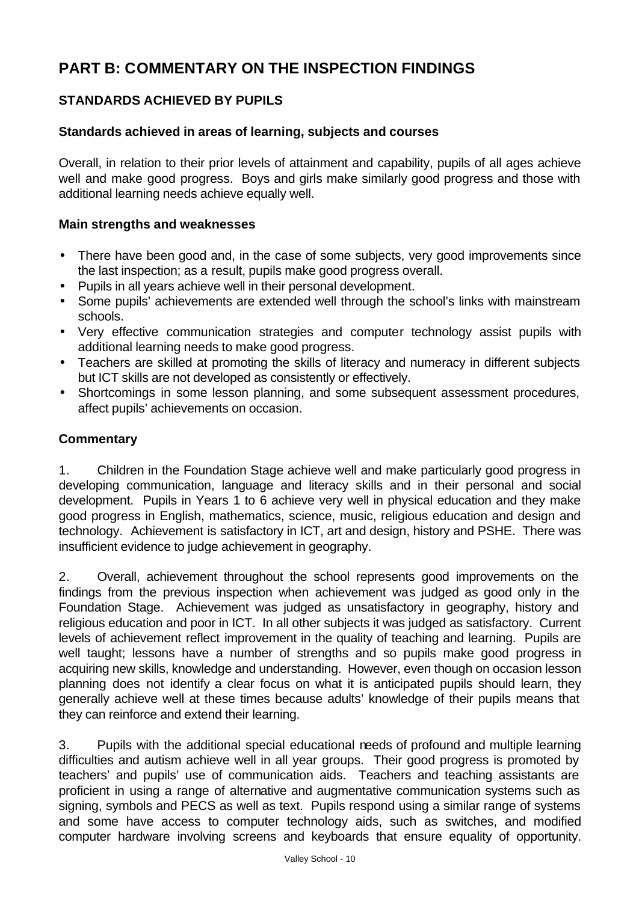# **PART B: COMMENTARY ON THE INSPECTION FINDINGS**

# **STANDARDS ACHIEVED BY PUPILS**

#### **Standards achieved in areas of learning, subjects and courses**

Overall, in relation to their prior levels of attainment and capability, pupils of all ages achieve well and make good progress. Boys and girls make similarly good progress and those with additional learning needs achieve equally well.

#### **Main strengths and weaknesses**

- There have been good and, in the case of some subjects, very good improvements since the last inspection; as a result, pupils make good progress overall.
- Pupils in all years achieve well in their personal development.
- Some pupils' achievements are extended well through the school's links with mainstream schools.
- Very effective communication strategies and computer technology assist pupils with additional learning needs to make good progress.
- Teachers are skilled at promoting the skills of literacy and numeracy in different subjects but ICT skills are not developed as consistently or effectively.
- Shortcomings in some lesson planning, and some subsequent assessment procedures, affect pupils' achievements on occasion.

#### **Commentary**

1. Children in the Foundation Stage achieve well and make particularly good progress in developing communication, language and literacy skills and in their personal and social development. Pupils in Years 1 to 6 achieve very well in physical education and they make good progress in English, mathematics, science, music, religious education and design and technology. Achievement is satisfactory in ICT, art and design, history and PSHE. There was insufficient evidence to judge achievement in geography.

2. Overall, achievement throughout the school represents good improvements on the findings from the previous inspection when achievement was judged as good only in the Foundation Stage. Achievement was judged as unsatisfactory in geography, history and religious education and poor in ICT. In all other subjects it was judged as satisfactory. Current levels of achievement reflect improvement in the quality of teaching and learning. Pupils are well taught; lessons have a number of strengths and so pupils make good progress in acquiring new skills, knowledge and understanding. However, even though on occasion lesson planning does not identify a clear focus on what it is anticipated pupils should learn, they generally achieve well at these times because adults' knowledge of their pupils means that they can reinforce and extend their learning.

3. Pupils with the additional special educational needs of profound and multiple learning difficulties and autism achieve well in all year groups. Their good progress is promoted by teachers' and pupils' use of communication aids. Teachers and teaching assistants are proficient in using a range of alternative and augmentative communication systems such as signing, symbols and PECS as well as text. Pupils respond using a similar range of systems and some have access to computer technology aids, such as switches, and modified computer hardware involving screens and keyboards that ensure equality of opportunity.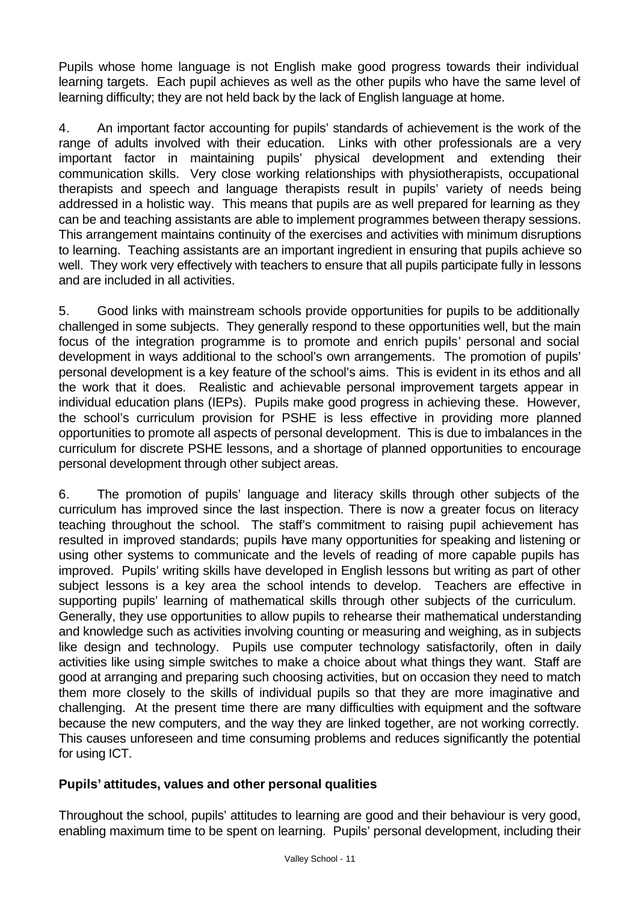Pupils whose home language is not English make good progress towards their individual learning targets. Each pupil achieves as well as the other pupils who have the same level of learning difficulty; they are not held back by the lack of English language at home.

4. An important factor accounting for pupils' standards of achievement is the work of the range of adults involved with their education. Links with other professionals are a very important factor in maintaining pupils' physical development and extending their communication skills. Very close working relationships with physiotherapists, occupational therapists and speech and language therapists result in pupils' variety of needs being addressed in a holistic way. This means that pupils are as well prepared for learning as they can be and teaching assistants are able to implement programmes between therapy sessions. This arrangement maintains continuity of the exercises and activities with minimum disruptions to learning. Teaching assistants are an important ingredient in ensuring that pupils achieve so well. They work very effectively with teachers to ensure that all pupils participate fully in lessons and are included in all activities.

5. Good links with mainstream schools provide opportunities for pupils to be additionally challenged in some subjects. They generally respond to these opportunities well, but the main focus of the integration programme is to promote and enrich pupils' personal and social development in ways additional to the school's own arrangements. The promotion of pupils' personal development is a key feature of the school's aims. This is evident in its ethos and all the work that it does. Realistic and achievable personal improvement targets appear in individual education plans (IEPs). Pupils make good progress in achieving these. However, the school's curriculum provision for PSHE is less effective in providing more planned opportunities to promote all aspects of personal development. This is due to imbalances in the curriculum for discrete PSHE lessons, and a shortage of planned opportunities to encourage personal development through other subject areas.

6. The promotion of pupils' language and literacy skills through other subjects of the curriculum has improved since the last inspection. There is now a greater focus on literacy teaching throughout the school. The staff's commitment to raising pupil achievement has resulted in improved standards; pupils have many opportunities for speaking and listening or using other systems to communicate and the levels of reading of more capable pupils has improved. Pupils' writing skills have developed in English lessons but writing as part of other subject lessons is a key area the school intends to develop. Teachers are effective in supporting pupils' learning of mathematical skills through other subjects of the curriculum. Generally, they use opportunities to allow pupils to rehearse their mathematical understanding and knowledge such as activities involving counting or measuring and weighing, as in subjects like design and technology. Pupils use computer technology satisfactorily, often in daily activities like using simple switches to make a choice about what things they want. Staff are good at arranging and preparing such choosing activities, but on occasion they need to match them more closely to the skills of individual pupils so that they are more imaginative and challenging. At the present time there are many difficulties with equipment and the software because the new computers, and the way they are linked together, are not working correctly. This causes unforeseen and time consuming problems and reduces significantly the potential for using ICT.

## **Pupils' attitudes, values and other personal qualities**

Throughout the school, pupils' attitudes to learning are good and their behaviour is very good, enabling maximum time to be spent on learning. Pupils' personal development, including their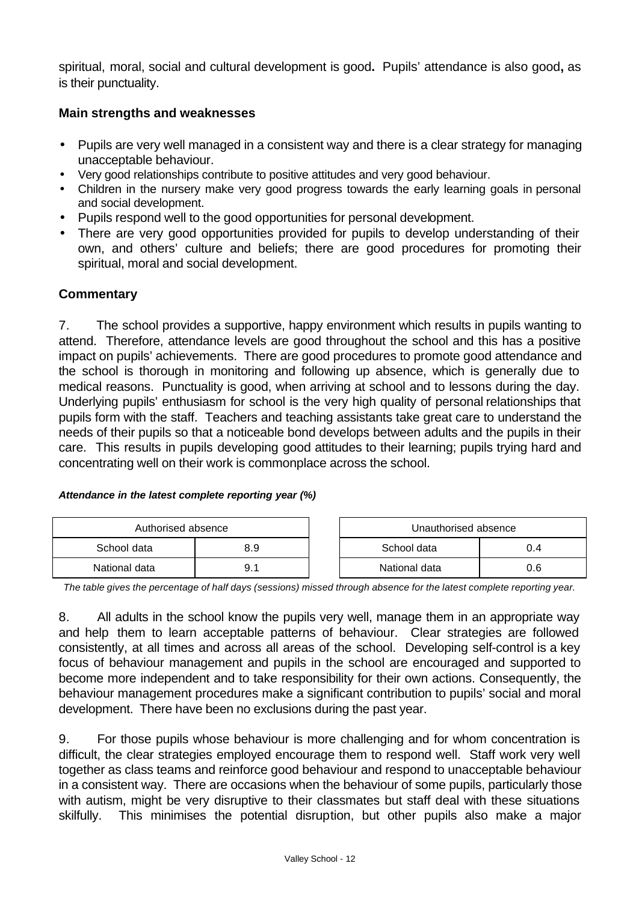spiritual, moral, social and cultural development is good**.** Pupils' attendance is also good**,** as is their punctuality.

#### **Main strengths and weaknesses**

- Pupils are very well managed in a consistent way and there is a clear strategy for managing unacceptable behaviour.
- Very good relationships contribute to positive attitudes and very good behaviour.
- Children in the nursery make very good progress towards the early learning goals in personal and social development.
- Pupils respond well to the good opportunities for personal development.
- There are very good opportunities provided for pupils to develop understanding of their own, and others' culture and beliefs; there are good procedures for promoting their spiritual, moral and social development.

#### **Commentary**

7. The school provides a supportive, happy environment which results in pupils wanting to attend. Therefore, attendance levels are good throughout the school and this has a positive impact on pupils' achievements. There are good procedures to promote good attendance and the school is thorough in monitoring and following up absence, which is generally due to medical reasons. Punctuality is good, when arriving at school and to lessons during the day. Underlying pupils' enthusiasm for school is the very high quality of personal relationships that pupils form with the staff. Teachers and teaching assistants take great care to understand the needs of their pupils so that a noticeable bond develops between adults and the pupils in their care. This results in pupils developing good attitudes to their learning; pupils trying hard and concentrating well on their work is commonplace across the school.

#### *Attendance in the latest complete reporting year (%)*

| Authorised absence |     |  | Unauthorised absence |     |  |
|--------------------|-----|--|----------------------|-----|--|
| School data        | 8.9 |  | School data<br>J.4   |     |  |
| National data      | g.  |  | National data        | 0.6 |  |

*The table gives the percentage of half days (sessions) missed through absence for the latest complete reporting year.*

8. All adults in the school know the pupils very well, manage them in an appropriate way and help them to learn acceptable patterns of behaviour. Clear strategies are followed consistently, at all times and across all areas of the school. Developing self-control is a key focus of behaviour management and pupils in the school are encouraged and supported to become more independent and to take responsibility for their own actions. Consequently, the behaviour management procedures make a significant contribution to pupils' social and moral development. There have been no exclusions during the past year.

9. For those pupils whose behaviour is more challenging and for whom concentration is difficult, the clear strategies employed encourage them to respond well. Staff work very well together as class teams and reinforce good behaviour and respond to unacceptable behaviour in a consistent way. There are occasions when the behaviour of some pupils, particularly those with autism, might be very disruptive to their classmates but staff deal with these situations skilfully. This minimises the potential disruption, but other pupils also make a major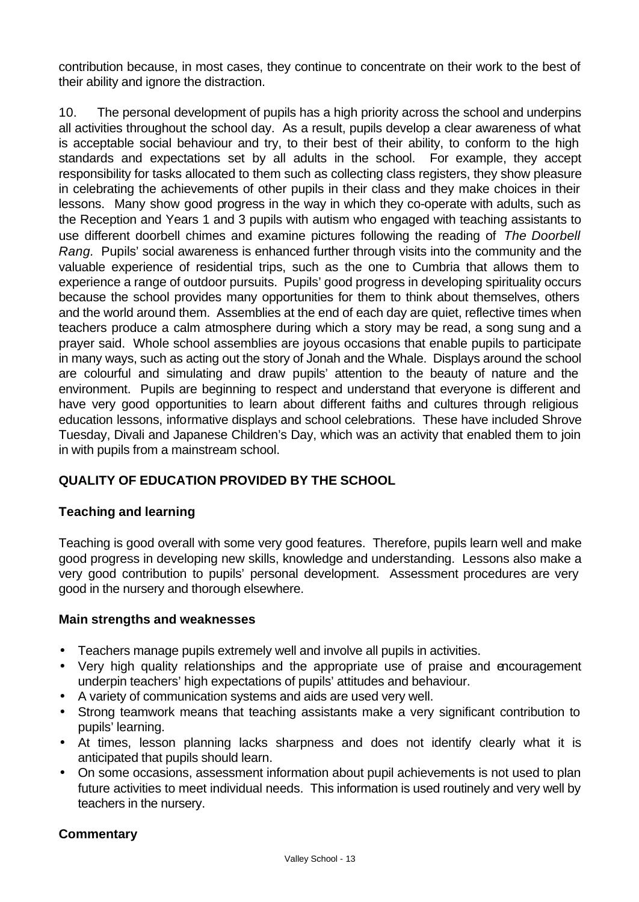contribution because, in most cases, they continue to concentrate on their work to the best of their ability and ignore the distraction.

10. The personal development of pupils has a high priority across the school and underpins all activities throughout the school day. As a result, pupils develop a clear awareness of what is acceptable social behaviour and try, to their best of their ability, to conform to the high standards and expectations set by all adults in the school. For example, they accept responsibility for tasks allocated to them such as collecting class registers, they show pleasure in celebrating the achievements of other pupils in their class and they make choices in their lessons. Many show good progress in the way in which they co-operate with adults, such as the Reception and Years 1 and 3 pupils with autism who engaged with teaching assistants to use different doorbell chimes and examine pictures following the reading of *The Doorbell Rang.* Pupils' social awareness is enhanced further through visits into the community and the valuable experience of residential trips, such as the one to Cumbria that allows them to experience a range of outdoor pursuits. Pupils' good progress in developing spirituality occurs because the school provides many opportunities for them to think about themselves, others and the world around them. Assemblies at the end of each day are quiet, reflective times when teachers produce a calm atmosphere during which a story may be read, a song sung and a prayer said. Whole school assemblies are joyous occasions that enable pupils to participate in many ways, such as acting out the story of Jonah and the Whale. Displays around the school are colourful and simulating and draw pupils' attention to the beauty of nature and the environment. Pupils are beginning to respect and understand that everyone is different and have very good opportunities to learn about different faiths and cultures through religious education lessons, informative displays and school celebrations. These have included Shrove Tuesday, Divali and Japanese Children's Day, which was an activity that enabled them to join in with pupils from a mainstream school.

## **QUALITY OF EDUCATION PROVIDED BY THE SCHOOL**

## **Teaching and learning**

Teaching is good overall with some very good features. Therefore, pupils learn well and make good progress in developing new skills, knowledge and understanding. Lessons also make a very good contribution to pupils' personal development. Assessment procedures are very good in the nursery and thorough elsewhere.

#### **Main strengths and weaknesses**

- Teachers manage pupils extremely well and involve all pupils in activities.
- Very high quality relationships and the appropriate use of praise and encouragement underpin teachers' high expectations of pupils' attitudes and behaviour.
- A variety of communication systems and aids are used very well.
- Strong teamwork means that teaching assistants make a very significant contribution to pupils' learning.
- At times, lesson planning lacks sharpness and does not identify clearly what it is anticipated that pupils should learn.
- On some occasions, assessment information about pupil achievements is not used to plan future activities to meet individual needs. This information is used routinely and very well by teachers in the nursery.

## **Commentary**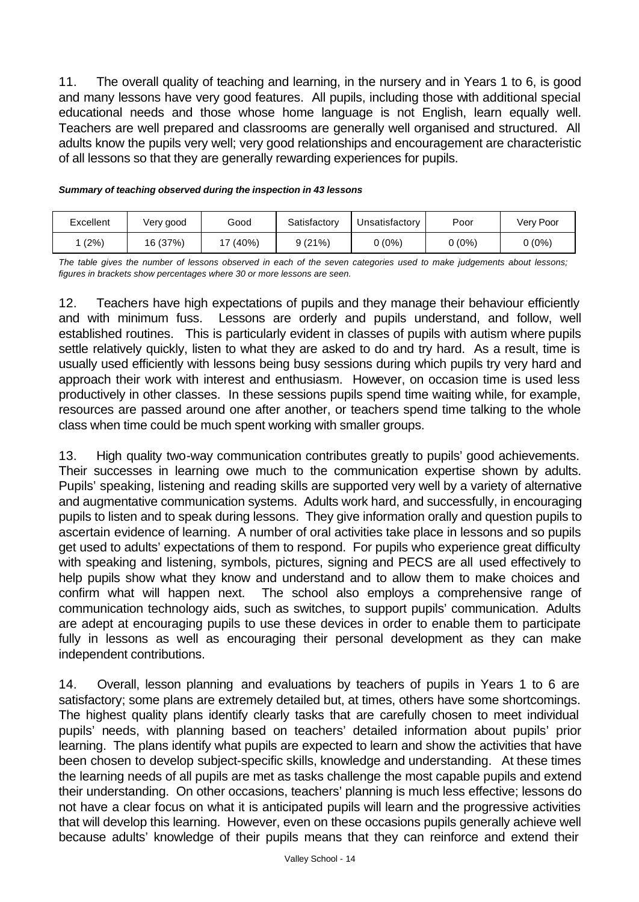11. The overall quality of teaching and learning, in the nursery and in Years 1 to 6, is good and many lessons have very good features. All pupils, including those with additional special educational needs and those whose home language is not English, learn equally well. Teachers are well prepared and classrooms are generally well organised and structured. All adults know the pupils very well; very good relationships and encouragement are characteristic of all lessons so that they are generally rewarding experiences for pupils.

| Excellent | Very good | Good     | Satisfactory | Unsatisfactory | Poor   | Very Poor |
|-----------|-----------|----------|--------------|----------------|--------|-----------|
| (2%)      | 16 (37%)  | $(40\%)$ | 9(21%)       | 0 (0%)         | 0 (0%) | 0 (0%)    |

#### *Summary of teaching observed during the inspection in 43 lessons*

*The table gives the number of lessons observed in each of the seven categories used to make judgements about lessons; figures in brackets show percentages where 30 or more lessons are seen.*

12. Teachers have high expectations of pupils and they manage their behaviour efficiently and with minimum fuss. Lessons are orderly and pupils understand, and follow, well established routines. This is particularly evident in classes of pupils with autism where pupils settle relatively quickly, listen to what they are asked to do and try hard. As a result, time is usually used efficiently with lessons being busy sessions during which pupils try very hard and approach their work with interest and enthusiasm. However, on occasion time is used less productively in other classes. In these sessions pupils spend time waiting while, for example, resources are passed around one after another, or teachers spend time talking to the whole class when time could be much spent working with smaller groups.

13. High quality two-way communication contributes greatly to pupils' good achievements. Their successes in learning owe much to the communication expertise shown by adults. Pupils' speaking, listening and reading skills are supported very well by a variety of alternative and augmentative communication systems. Adults work hard, and successfully, in encouraging pupils to listen and to speak during lessons. They give information orally and question pupils to ascertain evidence of learning. A number of oral activities take place in lessons and so pupils get used to adults' expectations of them to respond. For pupils who experience great difficulty with speaking and listening, symbols, pictures, signing and PECS are all used effectively to help pupils show what they know and understand and to allow them to make choices and confirm what will happen next. The school also employs a comprehensive range of communication technology aids, such as switches, to support pupils' communication. Adults are adept at encouraging pupils to use these devices in order to enable them to participate fully in lessons as well as encouraging their personal development as they can make independent contributions.

14. Overall, lesson planning and evaluations by teachers of pupils in Years 1 to 6 are satisfactory; some plans are extremely detailed but, at times, others have some shortcomings. The highest quality plans identify clearly tasks that are carefully chosen to meet individual pupils' needs, with planning based on teachers' detailed information about pupils' prior learning. The plans identify what pupils are expected to learn and show the activities that have been chosen to develop subject-specific skills, knowledge and understanding. At these times the learning needs of all pupils are met as tasks challenge the most capable pupils and extend their understanding. On other occasions, teachers' planning is much less effective; lessons do not have a clear focus on what it is anticipated pupils will learn and the progressive activities that will develop this learning. However, even on these occasions pupils generally achieve well because adults' knowledge of their pupils means that they can reinforce and extend their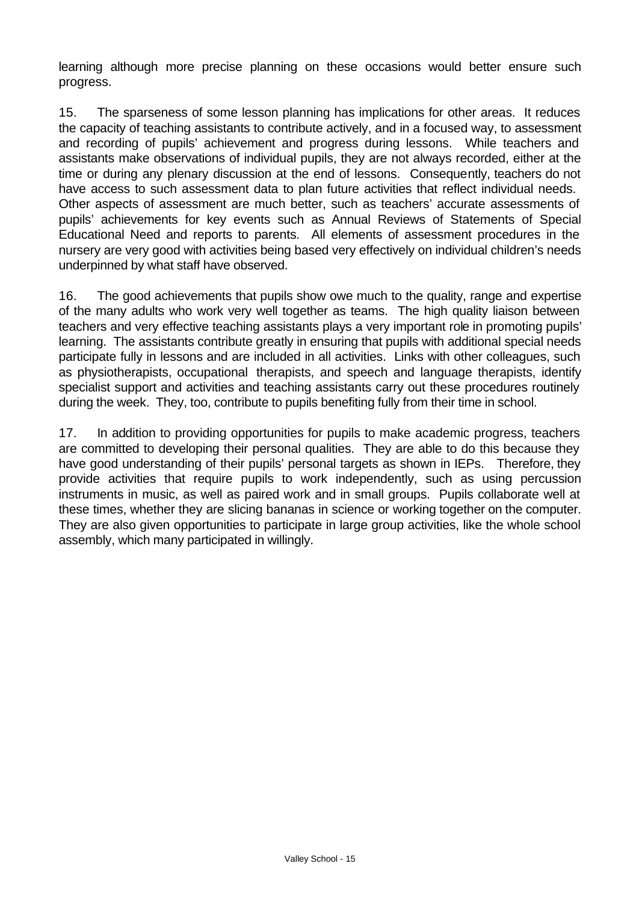learning although more precise planning on these occasions would better ensure such progress.

15. The sparseness of some lesson planning has implications for other areas. It reduces the capacity of teaching assistants to contribute actively, and in a focused way, to assessment and recording of pupils' achievement and progress during lessons. While teachers and assistants make observations of individual pupils, they are not always recorded, either at the time or during any plenary discussion at the end of lessons. Consequently, teachers do not have access to such assessment data to plan future activities that reflect individual needs. Other aspects of assessment are much better, such as teachers' accurate assessments of pupils' achievements for key events such as Annual Reviews of Statements of Special Educational Need and reports to parents. All elements of assessment procedures in the nursery are very good with activities being based very effectively on individual children's needs underpinned by what staff have observed.

16. The good achievements that pupils show owe much to the quality, range and expertise of the many adults who work very well together as teams. The high quality liaison between teachers and very effective teaching assistants plays a very important role in promoting pupils' learning. The assistants contribute greatly in ensuring that pupils with additional special needs participate fully in lessons and are included in all activities. Links with other colleagues, such as physiotherapists, occupational therapists, and speech and language therapists, identify specialist support and activities and teaching assistants carry out these procedures routinely during the week. They, too, contribute to pupils benefiting fully from their time in school.

17. In addition to providing opportunities for pupils to make academic progress, teachers are committed to developing their personal qualities. They are able to do this because they have good understanding of their pupils' personal targets as shown in IEPs. Therefore, they provide activities that require pupils to work independently, such as using percussion instruments in music, as well as paired work and in small groups. Pupils collaborate well at these times, whether they are slicing bananas in science or working together on the computer. They are also given opportunities to participate in large group activities, like the whole school assembly, which many participated in willingly.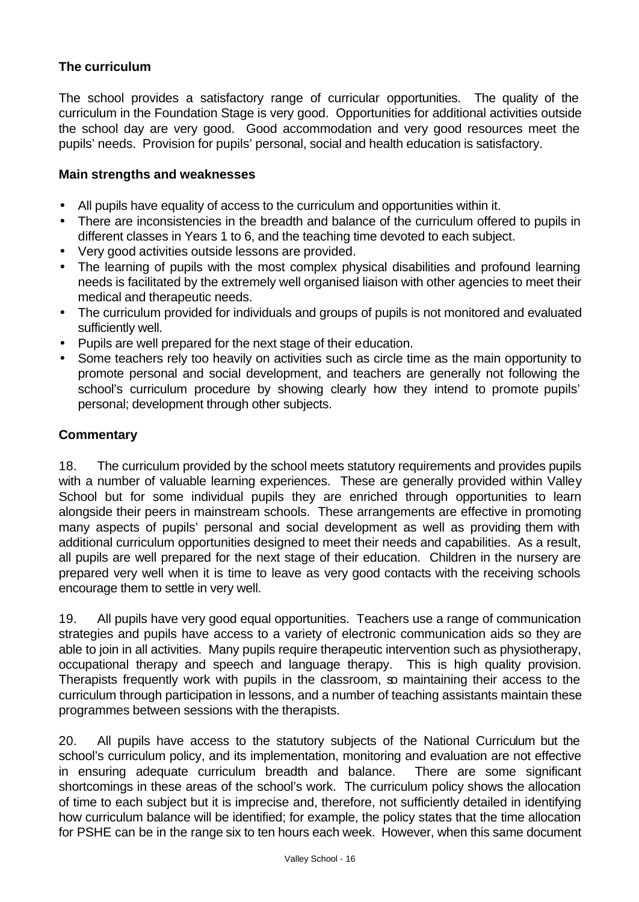## **The curriculum**

The school provides a satisfactory range of curricular opportunities. The quality of the curriculum in the Foundation Stage is very good. Opportunities for additional activities outside the school day are very good. Good accommodation and very good resources meet the pupils' needs. Provision for pupils' personal, social and health education is satisfactory.

#### **Main strengths and weaknesses**

- All pupils have equality of access to the curriculum and opportunities within it.
- There are inconsistencies in the breadth and balance of the curriculum offered to pupils in different classes in Years 1 to 6, and the teaching time devoted to each subject.
- Very good activities outside lessons are provided.
- The learning of pupils with the most complex physical disabilities and profound learning needs is facilitated by the extremely well organised liaison with other agencies to meet their medical and therapeutic needs.
- The curriculum provided for individuals and groups of pupils is not monitored and evaluated sufficiently well.
- Pupils are well prepared for the next stage of their education.
- Some teachers rely too heavily on activities such as circle time as the main opportunity to promote personal and social development, and teachers are generally not following the school's curriculum procedure by showing clearly how they intend to promote pupils' personal; development through other subjects.

#### **Commentary**

18. The curriculum provided by the school meets statutory requirements and provides pupils with a number of valuable learning experiences. These are generally provided within Valley School but for some individual pupils they are enriched through opportunities to learn alongside their peers in mainstream schools. These arrangements are effective in promoting many aspects of pupils' personal and social development as well as providing them with additional curriculum opportunities designed to meet their needs and capabilities. As a result, all pupils are well prepared for the next stage of their education. Children in the nursery are prepared very well when it is time to leave as very good contacts with the receiving schools encourage them to settle in very well.

19. All pupils have very good equal opportunities. Teachers use a range of communication strategies and pupils have access to a variety of electronic communication aids so they are able to join in all activities. Many pupils require therapeutic intervention such as physiotherapy, occupational therapy and speech and language therapy. This is high quality provision. Therapists frequently work with pupils in the classroom, so maintaining their access to the curriculum through participation in lessons, and a number of teaching assistants maintain these programmes between sessions with the therapists.

20. All pupils have access to the statutory subjects of the National Curriculum but the school's curriculum policy, and its implementation, monitoring and evaluation are not effective in ensuring adequate curriculum breadth and balance. There are some significant shortcomings in these areas of the school's work. The curriculum policy shows the allocation of time to each subject but it is imprecise and, therefore, not sufficiently detailed in identifying how curriculum balance will be identified; for example, the policy states that the time allocation for PSHE can be in the range six to ten hours each week. However, when this same document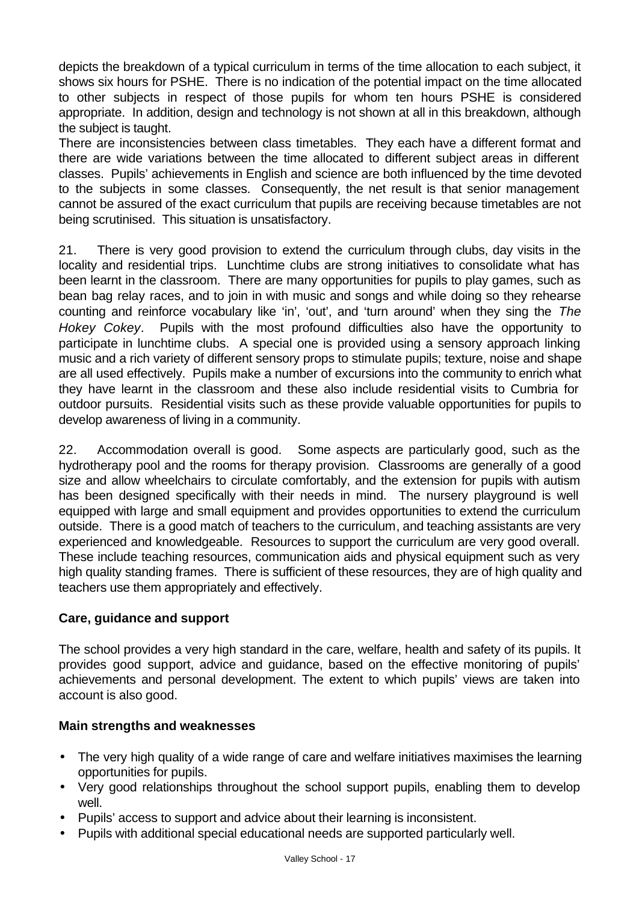depicts the breakdown of a typical curriculum in terms of the time allocation to each subject, it shows six hours for PSHE. There is no indication of the potential impact on the time allocated to other subjects in respect of those pupils for whom ten hours PSHE is considered appropriate. In addition, design and technology is not shown at all in this breakdown, although the subject is taught.

There are inconsistencies between class timetables. They each have a different format and there are wide variations between the time allocated to different subject areas in different classes. Pupils' achievements in English and science are both influenced by the time devoted to the subjects in some classes. Consequently, the net result is that senior management cannot be assured of the exact curriculum that pupils are receiving because timetables are not being scrutinised. This situation is unsatisfactory.

21. There is very good provision to extend the curriculum through clubs, day visits in the locality and residential trips. Lunchtime clubs are strong initiatives to consolidate what has been learnt in the classroom. There are many opportunities for pupils to play games, such as bean bag relay races, and to join in with music and songs and while doing so they rehearse counting and reinforce vocabulary like 'in', 'out', and 'turn around' when they sing the *The Hokey Cokey*. Pupils with the most profound difficulties also have the opportunity to participate in lunchtime clubs. A special one is provided using a sensory approach linking music and a rich variety of different sensory props to stimulate pupils; texture, noise and shape are all used effectively. Pupils make a number of excursions into the community to enrich what they have learnt in the classroom and these also include residential visits to Cumbria for outdoor pursuits. Residential visits such as these provide valuable opportunities for pupils to develop awareness of living in a community.

22. Accommodation overall is good. Some aspects are particularly good, such as the hydrotherapy pool and the rooms for therapy provision. Classrooms are generally of a good size and allow wheelchairs to circulate comfortably, and the extension for pupils with autism has been designed specifically with their needs in mind. The nursery playground is well equipped with large and small equipment and provides opportunities to extend the curriculum outside. There is a good match of teachers to the curriculum, and teaching assistants are very experienced and knowledgeable. Resources to support the curriculum are very good overall. These include teaching resources, communication aids and physical equipment such as very high quality standing frames. There is sufficient of these resources, they are of high quality and teachers use them appropriately and effectively.

## **Care, guidance and support**

The school provides a very high standard in the care, welfare, health and safety of its pupils. It provides good support, advice and guidance, based on the effective monitoring of pupils' achievements and personal development. The extent to which pupils' views are taken into account is also good.

#### **Main strengths and weaknesses**

- The very high quality of a wide range of care and welfare initiatives maximises the learning opportunities for pupils.
- Very good relationships throughout the school support pupils, enabling them to develop well.
- Pupils' access to support and advice about their learning is inconsistent.
- Pupils with additional special educational needs are supported particularly well.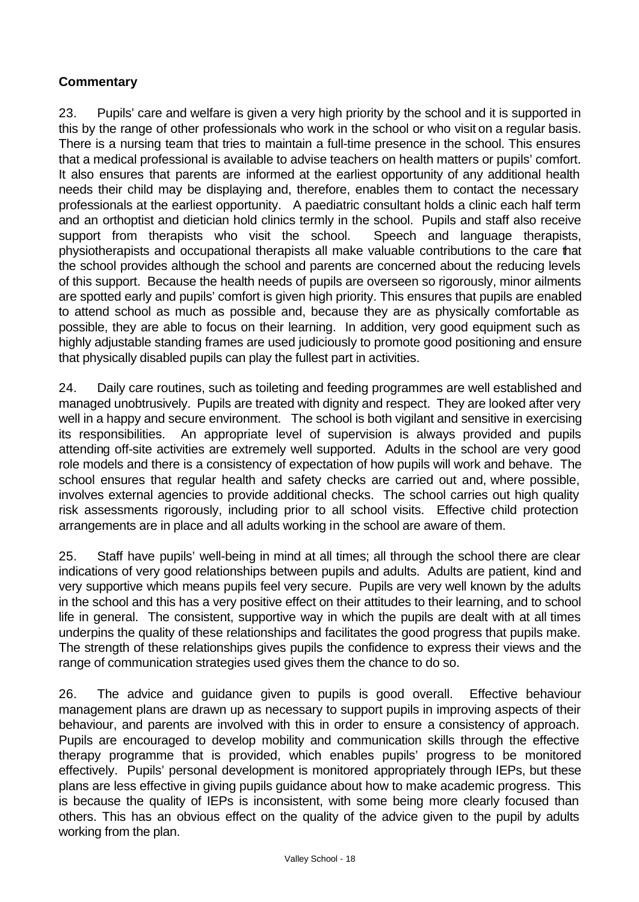## **Commentary**

23. Pupils' care and welfare is given a very high priority by the school and it is supported in this by the range of other professionals who work in the school or who visit on a regular basis. There is a nursing team that tries to maintain a full-time presence in the school. This ensures that a medical professional is available to advise teachers on health matters or pupils' comfort. It also ensures that parents are informed at the earliest opportunity of any additional health needs their child may be displaying and, therefore, enables them to contact the necessary professionals at the earliest opportunity. A paediatric consultant holds a clinic each half term and an orthoptist and dietician hold clinics termly in the school. Pupils and staff also receive support from therapists who visit the school. Speech and language therapists, physiotherapists and occupational therapists all make valuable contributions to the care that the school provides although the school and parents are concerned about the reducing levels of this support. Because the health needs of pupils are overseen so rigorously, minor ailments are spotted early and pupils' comfort is given high priority. This ensures that pupils are enabled to attend school as much as possible and, because they are as physically comfortable as possible, they are able to focus on their learning. In addition, very good equipment such as highly adjustable standing frames are used judiciously to promote good positioning and ensure that physically disabled pupils can play the fullest part in activities.

24. Daily care routines, such as toileting and feeding programmes are well established and managed unobtrusively. Pupils are treated with dignity and respect. They are looked after very well in a happy and secure environment. The school is both vigilant and sensitive in exercising its responsibilities. An appropriate level of supervision is always provided and pupils attending off-site activities are extremely well supported. Adults in the school are very good role models and there is a consistency of expectation of how pupils will work and behave. The school ensures that regular health and safety checks are carried out and, where possible, involves external agencies to provide additional checks. The school carries out high quality risk assessments rigorously, including prior to all school visits. Effective child protection arrangements are in place and all adults working in the school are aware of them.

25. Staff have pupils' well-being in mind at all times; all through the school there are clear indications of very good relationships between pupils and adults. Adults are patient, kind and very supportive which means pupils feel very secure. Pupils are very well known by the adults in the school and this has a very positive effect on their attitudes to their learning, and to school life in general. The consistent, supportive way in which the pupils are dealt with at all times underpins the quality of these relationships and facilitates the good progress that pupils make. The strength of these relationships gives pupils the confidence to express their views and the range of communication strategies used gives them the chance to do so.

26. The advice and guidance given to pupils is good overall. Effective behaviour management plans are drawn up as necessary to support pupils in improving aspects of their behaviour, and parents are involved with this in order to ensure a consistency of approach. Pupils are encouraged to develop mobility and communication skills through the effective therapy programme that is provided, which enables pupils' progress to be monitored effectively. Pupils' personal development is monitored appropriately through IEPs, but these plans are less effective in giving pupils guidance about how to make academic progress. This is because the quality of IEPs is inconsistent, with some being more clearly focused than others. This has an obvious effect on the quality of the advice given to the pupil by adults working from the plan.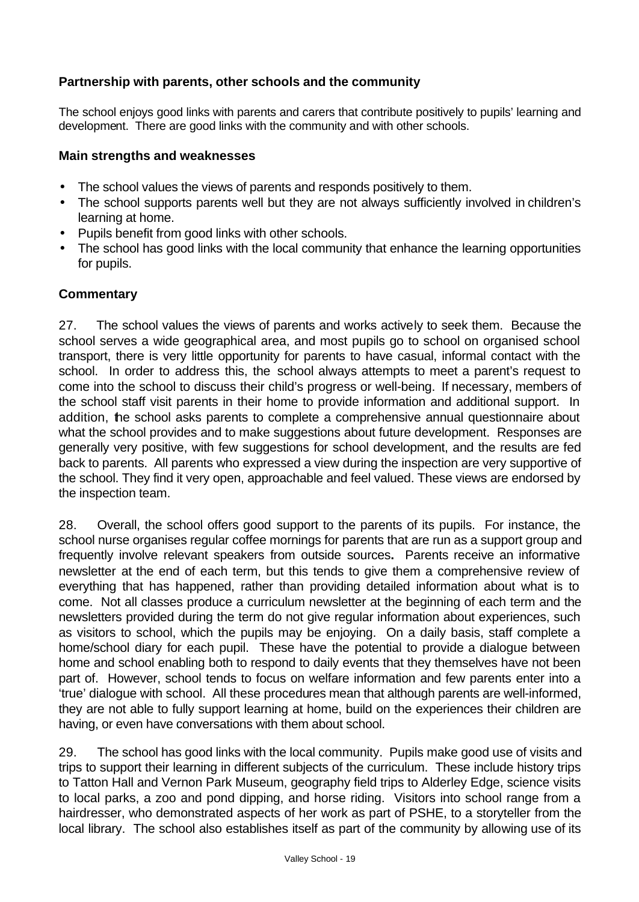## **Partnership with parents, other schools and the community**

The school enjoys good links with parents and carers that contribute positively to pupils' learning and development. There are good links with the community and with other schools.

#### **Main strengths and weaknesses**

- The school values the views of parents and responds positively to them.
- The school supports parents well but they are not always sufficiently involved in children's learning at home.
- Pupils benefit from good links with other schools.
- The school has good links with the local community that enhance the learning opportunities for pupils.

#### **Commentary**

27. The school values the views of parents and works actively to seek them. Because the school serves a wide geographical area, and most pupils go to school on organised school transport, there is very little opportunity for parents to have casual, informal contact with the school. In order to address this, the school always attempts to meet a parent's request to come into the school to discuss their child's progress or well-being. If necessary, members of the school staff visit parents in their home to provide information and additional support. In addition, the school asks parents to complete a comprehensive annual questionnaire about what the school provides and to make suggestions about future development. Responses are generally very positive, with few suggestions for school development, and the results are fed back to parents. All parents who expressed a view during the inspection are very supportive of the school. They find it very open, approachable and feel valued. These views are endorsed by the inspection team.

28. Overall, the school offers good support to the parents of its pupils. For instance, the school nurse organises regular coffee mornings for parents that are run as a support group and frequently involve relevant speakers from outside sources**.** Parents receive an informative newsletter at the end of each term, but this tends to give them a comprehensive review of everything that has happened, rather than providing detailed information about what is to come. Not all classes produce a curriculum newsletter at the beginning of each term and the newsletters provided during the term do not give regular information about experiences, such as visitors to school, which the pupils may be enjoying. On a daily basis, staff complete a home/school diary for each pupil. These have the potential to provide a dialogue between home and school enabling both to respond to daily events that they themselves have not been part of. However, school tends to focus on welfare information and few parents enter into a 'true' dialogue with school. All these procedures mean that although parents are well-informed, they are not able to fully support learning at home, build on the experiences their children are having, or even have conversations with them about school.

29. The school has good links with the local community. Pupils make good use of visits and trips to support their learning in different subjects of the curriculum. These include history trips to Tatton Hall and Vernon Park Museum, geography field trips to Alderley Edge, science visits to local parks, a zoo and pond dipping, and horse riding. Visitors into school range from a hairdresser, who demonstrated aspects of her work as part of PSHE, to a storyteller from the local library. The school also establishes itself as part of the community by allowing use of its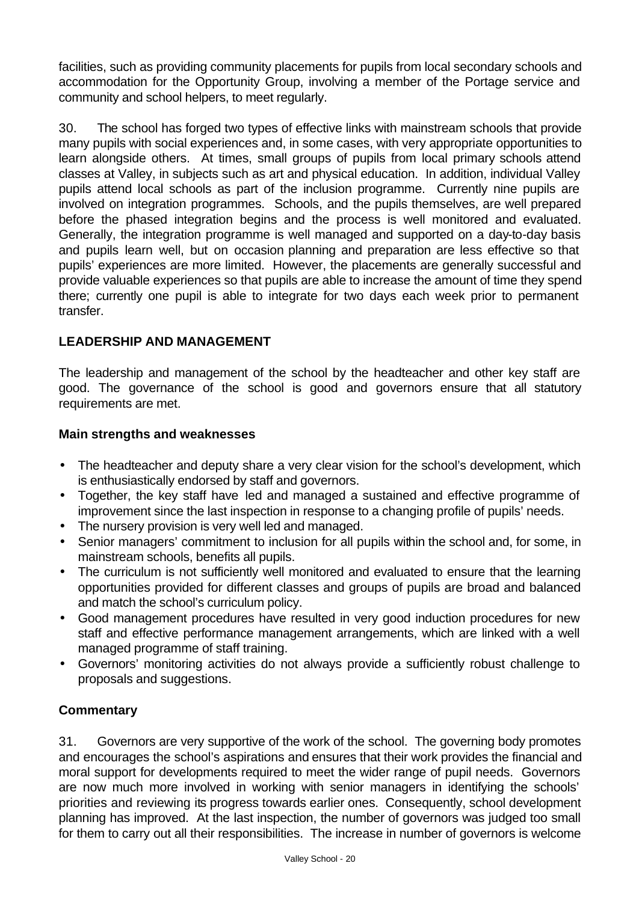facilities, such as providing community placements for pupils from local secondary schools and accommodation for the Opportunity Group, involving a member of the Portage service and community and school helpers, to meet regularly.

30. The school has forged two types of effective links with mainstream schools that provide many pupils with social experiences and, in some cases, with very appropriate opportunities to learn alongside others. At times, small groups of pupils from local primary schools attend classes at Valley, in subjects such as art and physical education. In addition, individual Valley pupils attend local schools as part of the inclusion programme. Currently nine pupils are involved on integration programmes. Schools, and the pupils themselves, are well prepared before the phased integration begins and the process is well monitored and evaluated. Generally, the integration programme is well managed and supported on a day-to-day basis and pupils learn well, but on occasion planning and preparation are less effective so that pupils' experiences are more limited. However, the placements are generally successful and provide valuable experiences so that pupils are able to increase the amount of time they spend there; currently one pupil is able to integrate for two days each week prior to permanent transfer.

## **LEADERSHIP AND MANAGEMENT**

The leadership and management of the school by the headteacher and other key staff are good. The governance of the school is good and governors ensure that all statutory requirements are met.

#### **Main strengths and weaknesses**

- The headteacher and deputy share a very clear vision for the school's development, which is enthusiastically endorsed by staff and governors.
- Together, the key staff have led and managed a sustained and effective programme of improvement since the last inspection in response to a changing profile of pupils' needs.
- The nursery provision is very well led and managed.
- Senior managers' commitment to inclusion for all pupils within the school and, for some, in mainstream schools, benefits all pupils.
- The curriculum is not sufficiently well monitored and evaluated to ensure that the learning opportunities provided for different classes and groups of pupils are broad and balanced and match the school's curriculum policy.
- Good management procedures have resulted in very good induction procedures for new staff and effective performance management arrangements, which are linked with a well managed programme of staff training.
- Governors' monitoring activities do not always provide a sufficiently robust challenge to proposals and suggestions.

## **Commentary**

31. Governors are very supportive of the work of the school. The governing body promotes and encourages the school's aspirations and ensures that their work provides the financial and moral support for developments required to meet the wider range of pupil needs. Governors are now much more involved in working with senior managers in identifying the schools' priorities and reviewing its progress towards earlier ones. Consequently, school development planning has improved. At the last inspection, the number of governors was judged too small for them to carry out all their responsibilities. The increase in number of governors is welcome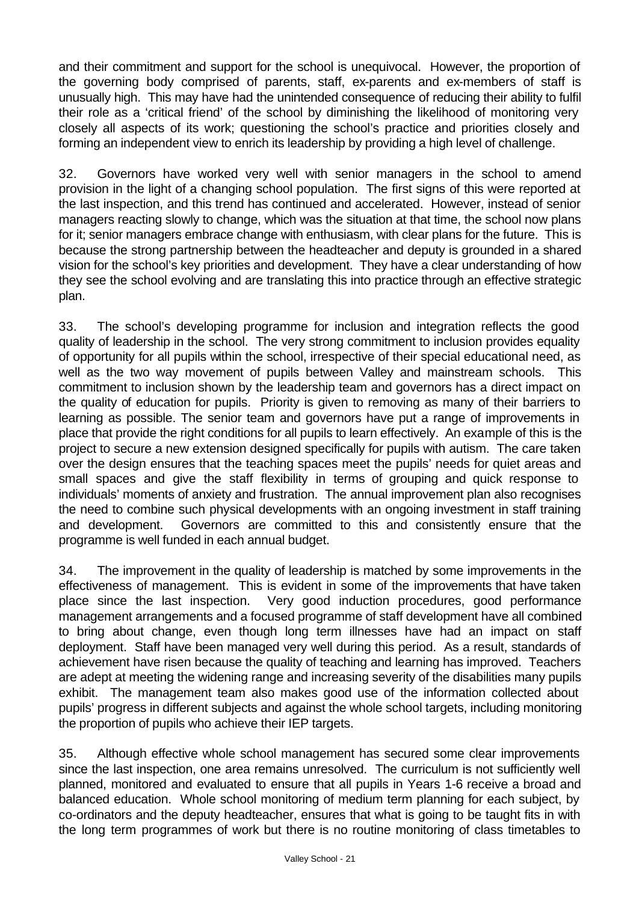and their commitment and support for the school is unequivocal. However, the proportion of the governing body comprised of parents, staff, ex-parents and ex-members of staff is unusually high. This may have had the unintended consequence of reducing their ability to fulfil their role as a 'critical friend' of the school by diminishing the likelihood of monitoring very closely all aspects of its work; questioning the school's practice and priorities closely and forming an independent view to enrich its leadership by providing a high level of challenge.

32. Governors have worked very well with senior managers in the school to amend provision in the light of a changing school population. The first signs of this were reported at the last inspection, and this trend has continued and accelerated. However, instead of senior managers reacting slowly to change, which was the situation at that time, the school now plans for it; senior managers embrace change with enthusiasm, with clear plans for the future. This is because the strong partnership between the headteacher and deputy is grounded in a shared vision for the school's key priorities and development. They have a clear understanding of how they see the school evolving and are translating this into practice through an effective strategic plan.

33. The school's developing programme for inclusion and integration reflects the good quality of leadership in the school. The very strong commitment to inclusion provides equality of opportunity for all pupils within the school, irrespective of their special educational need, as well as the two way movement of pupils between Valley and mainstream schools. This commitment to inclusion shown by the leadership team and governors has a direct impact on the quality of education for pupils. Priority is given to removing as many of their barriers to learning as possible. The senior team and governors have put a range of improvements in place that provide the right conditions for all pupils to learn effectively. An example of this is the project to secure a new extension designed specifically for pupils with autism. The care taken over the design ensures that the teaching spaces meet the pupils' needs for quiet areas and small spaces and give the staff flexibility in terms of grouping and quick response to individuals' moments of anxiety and frustration. The annual improvement plan also recognises the need to combine such physical developments with an ongoing investment in staff training and development. Governors are committed to this and consistently ensure that the programme is well funded in each annual budget.

34. The improvement in the quality of leadership is matched by some improvements in the effectiveness of management. This is evident in some of the improvements that have taken place since the last inspection. Very good induction procedures, good performance management arrangements and a focused programme of staff development have all combined to bring about change, even though long term illnesses have had an impact on staff deployment. Staff have been managed very well during this period. As a result, standards of achievement have risen because the quality of teaching and learning has improved. Teachers are adept at meeting the widening range and increasing severity of the disabilities many pupils exhibit. The management team also makes good use of the information collected about pupils' progress in different subjects and against the whole school targets, including monitoring the proportion of pupils who achieve their IEP targets.

35. Although effective whole school management has secured some clear improvements since the last inspection, one area remains unresolved. The curriculum is not sufficiently well planned, monitored and evaluated to ensure that all pupils in Years 1-6 receive a broad and balanced education. Whole school monitoring of medium term planning for each subject, by co-ordinators and the deputy headteacher, ensures that what is going to be taught fits in with the long term programmes of work but there is no routine monitoring of class timetables to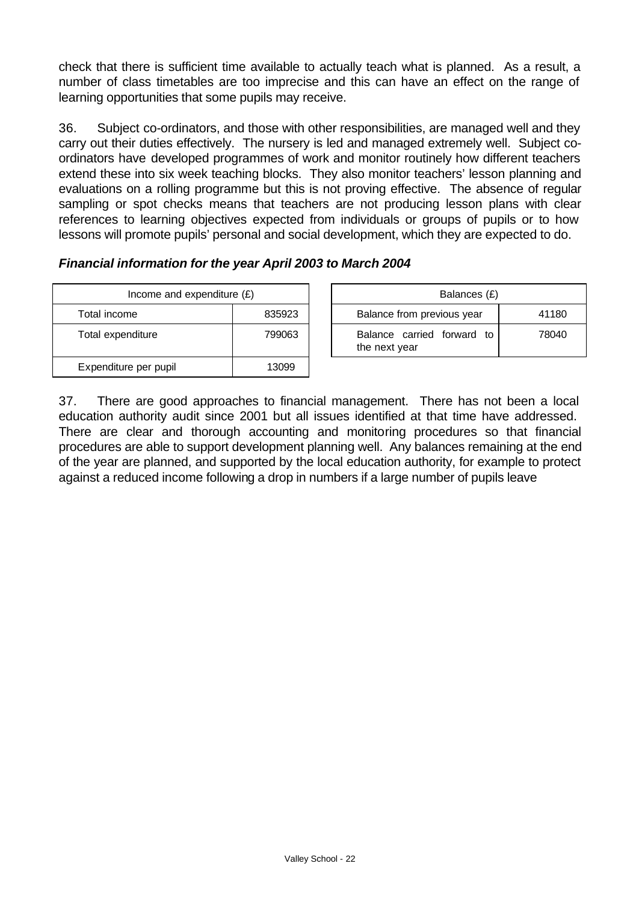check that there is sufficient time available to actually teach what is planned. As a result, a number of class timetables are too imprecise and this can have an effect on the range of learning opportunities that some pupils may receive.

36. Subject co-ordinators, and those with other responsibilities, are managed well and they carry out their duties effectively. The nursery is led and managed extremely well. Subject coordinators have developed programmes of work and monitor routinely how different teachers extend these into six week teaching blocks. They also monitor teachers' lesson planning and evaluations on a rolling programme but this is not proving effective. The absence of regular sampling or spot checks means that teachers are not producing lesson plans with clear references to learning objectives expected from individuals or groups of pupils or to how lessons will promote pupils' personal and social development, which they are expected to do.

## *Financial information for the year April 2003 to March 2004*

| Income and expenditure $(E)$ |        |  | Balances (£)                                |
|------------------------------|--------|--|---------------------------------------------|
| Total income<br>835923       |        |  | Balance from previous year                  |
| Total expenditure            | 799063 |  | Balance carried forward to<br>the next year |
| Expenditure per pupil        | 3099   |  |                                             |

| Income and expenditure $(E)$ |        |  | Balances (£)                                   |       |
|------------------------------|--------|--|------------------------------------------------|-------|
| Total income                 | 835923 |  | Balance from previous year                     | 41180 |
| Total expenditure            | 799063 |  | Balance carried forward<br>t∩<br>the next year | 78040 |

37. There are good approaches to financial management. There has not been a local education authority audit since 2001 but all issues identified at that time have addressed. There are clear and thorough accounting and monitoring procedures so that financial procedures are able to support development planning well. Any balances remaining at the end of the year are planned, and supported by the local education authority, for example to protect against a reduced income following a drop in numbers if a large number of pupils leave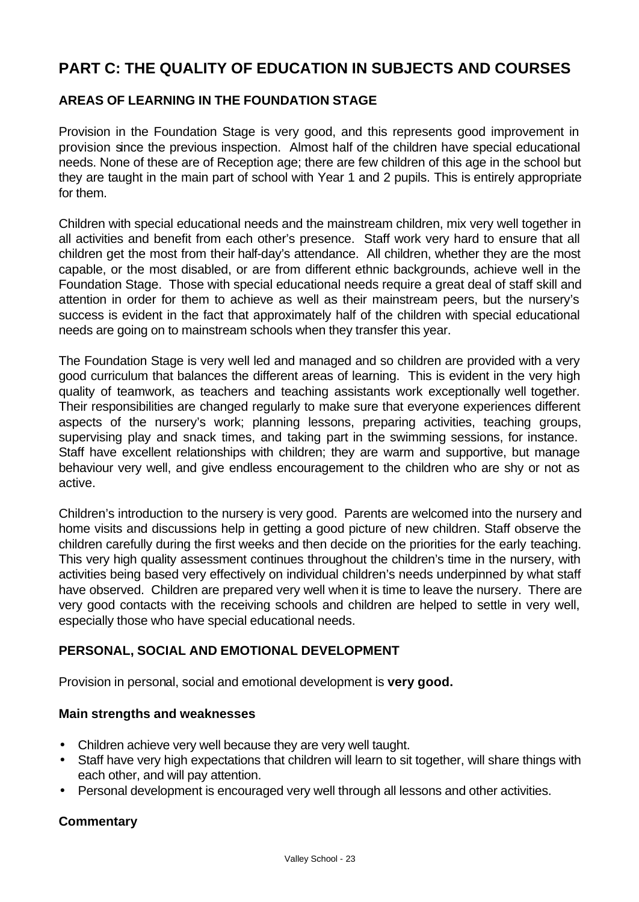# **PART C: THE QUALITY OF EDUCATION IN SUBJECTS AND COURSES**

## **AREAS OF LEARNING IN THE FOUNDATION STAGE**

Provision in the Foundation Stage is very good, and this represents good improvement in provision since the previous inspection. Almost half of the children have special educational needs. None of these are of Reception age; there are few children of this age in the school but they are taught in the main part of school with Year 1 and 2 pupils. This is entirely appropriate for them.

Children with special educational needs and the mainstream children, mix very well together in all activities and benefit from each other's presence. Staff work very hard to ensure that all children get the most from their half-day's attendance. All children, whether they are the most capable, or the most disabled, or are from different ethnic backgrounds, achieve well in the Foundation Stage. Those with special educational needs require a great deal of staff skill and attention in order for them to achieve as well as their mainstream peers, but the nursery's success is evident in the fact that approximately half of the children with special educational needs are going on to mainstream schools when they transfer this year.

The Foundation Stage is very well led and managed and so children are provided with a very good curriculum that balances the different areas of learning. This is evident in the very high quality of teamwork, as teachers and teaching assistants work exceptionally well together. Their responsibilities are changed regularly to make sure that everyone experiences different aspects of the nursery's work; planning lessons, preparing activities, teaching groups, supervising play and snack times, and taking part in the swimming sessions, for instance. Staff have excellent relationships with children; they are warm and supportive, but manage behaviour very well, and give endless encouragement to the children who are shy or not as active.

Children's introduction to the nursery is very good. Parents are welcomed into the nursery and home visits and discussions help in getting a good picture of new children. Staff observe the children carefully during the first weeks and then decide on the priorities for the early teaching. This very high quality assessment continues throughout the children's time in the nursery, with activities being based very effectively on individual children's needs underpinned by what staff have observed. Children are prepared very well when it is time to leave the nursery. There are very good contacts with the receiving schools and children are helped to settle in very well, especially those who have special educational needs.

## **PERSONAL, SOCIAL AND EMOTIONAL DEVELOPMENT**

Provision in personal, social and emotional development is **very good.**

#### **Main strengths and weaknesses**

- Children achieve very well because they are very well taught.
- Staff have very high expectations that children will learn to sit together, will share things with each other, and will pay attention.
- Personal development is encouraged very well through all lessons and other activities.

#### **Commentary**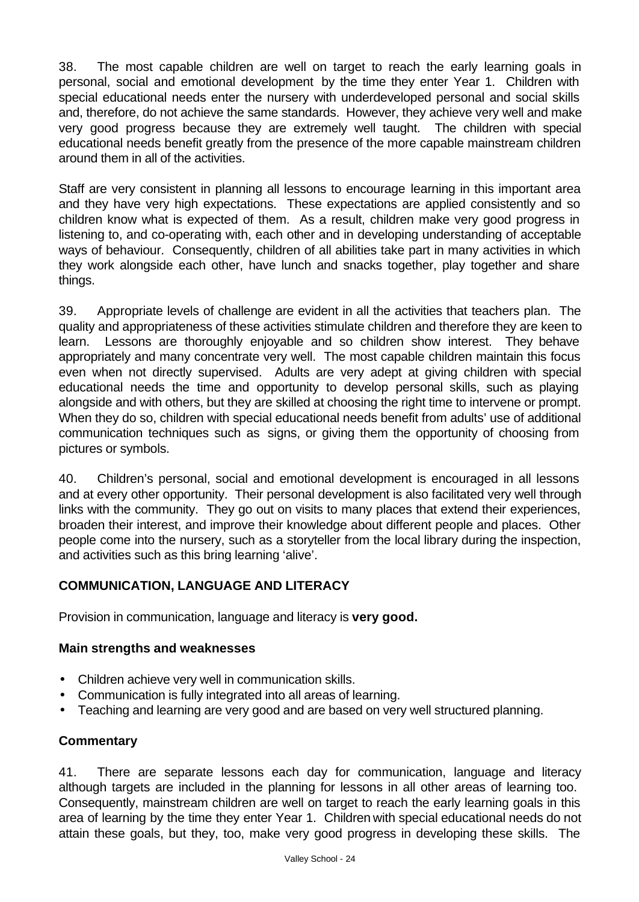38. The most capable children are well on target to reach the early learning goals in personal, social and emotional development by the time they enter Year 1. Children with special educational needs enter the nursery with underdeveloped personal and social skills and, therefore, do not achieve the same standards. However, they achieve very well and make very good progress because they are extremely well taught. The children with special educational needs benefit greatly from the presence of the more capable mainstream children around them in all of the activities.

Staff are very consistent in planning all lessons to encourage learning in this important area and they have very high expectations. These expectations are applied consistently and so children know what is expected of them. As a result, children make very good progress in listening to, and co-operating with, each other and in developing understanding of acceptable ways of behaviour. Consequently, children of all abilities take part in many activities in which they work alongside each other, have lunch and snacks together, play together and share things.

39. Appropriate levels of challenge are evident in all the activities that teachers plan. The quality and appropriateness of these activities stimulate children and therefore they are keen to learn. Lessons are thoroughly enjoyable and so children show interest. They behave appropriately and many concentrate very well. The most capable children maintain this focus even when not directly supervised. Adults are very adept at giving children with special educational needs the time and opportunity to develop personal skills, such as playing alongside and with others, but they are skilled at choosing the right time to intervene or prompt. When they do so, children with special educational needs benefit from adults' use of additional communication techniques such as signs, or giving them the opportunity of choosing from pictures or symbols.

40. Children's personal, social and emotional development is encouraged in all lessons and at every other opportunity. Their personal development is also facilitated very well through links with the community. They go out on visits to many places that extend their experiences, broaden their interest, and improve their knowledge about different people and places. Other people come into the nursery, such as a storyteller from the local library during the inspection, and activities such as this bring learning 'alive'.

## **COMMUNICATION, LANGUAGE AND LITERACY**

Provision in communication, language and literacy is **very good.**

## **Main strengths and weaknesses**

- Children achieve very well in communication skills.
- Communication is fully integrated into all areas of learning.
- Teaching and learning are very good and are based on very well structured planning.

## **Commentary**

41. There are separate lessons each day for communication, language and literacy although targets are included in the planning for lessons in all other areas of learning too. Consequently, mainstream children are well on target to reach the early learning goals in this area of learning by the time they enter Year 1. Children with special educational needs do not attain these goals, but they, too, make very good progress in developing these skills. The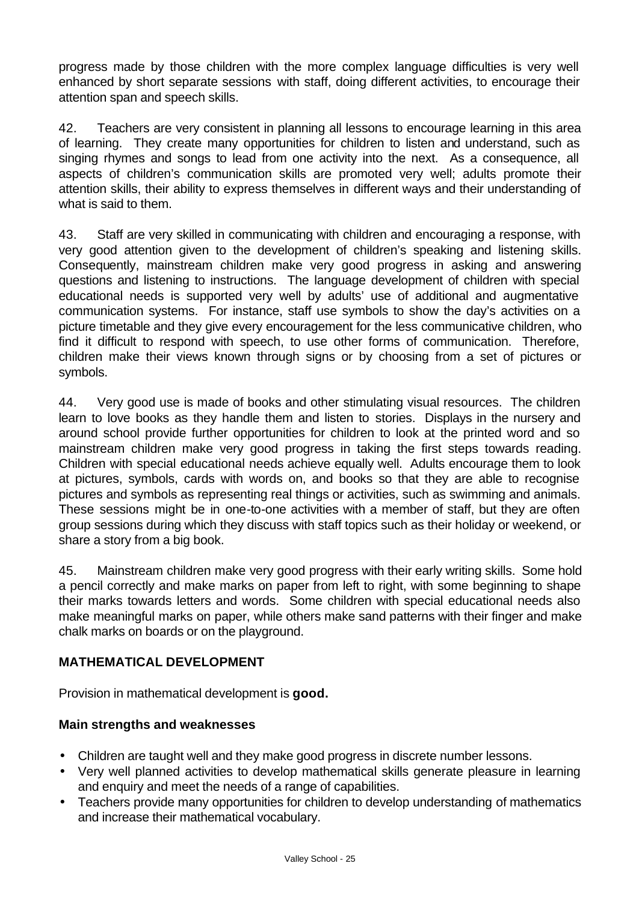progress made by those children with the more complex language difficulties is very well enhanced by short separate sessions with staff, doing different activities, to encourage their attention span and speech skills.

42. Teachers are very consistent in planning all lessons to encourage learning in this area of learning. They create many opportunities for children to listen and understand, such as singing rhymes and songs to lead from one activity into the next. As a consequence, all aspects of children's communication skills are promoted very well; adults promote their attention skills, their ability to express themselves in different ways and their understanding of what is said to them.

43. Staff are very skilled in communicating with children and encouraging a response, with very good attention given to the development of children's speaking and listening skills. Consequently, mainstream children make very good progress in asking and answering questions and listening to instructions. The language development of children with special educational needs is supported very well by adults' use of additional and augmentative communication systems. For instance, staff use symbols to show the day's activities on a picture timetable and they give every encouragement for the less communicative children, who find it difficult to respond with speech, to use other forms of communication. Therefore, children make their views known through signs or by choosing from a set of pictures or symbols.

44. Very good use is made of books and other stimulating visual resources. The children learn to love books as they handle them and listen to stories. Displays in the nursery and around school provide further opportunities for children to look at the printed word and so mainstream children make very good progress in taking the first steps towards reading. Children with special educational needs achieve equally well. Adults encourage them to look at pictures, symbols, cards with words on, and books so that they are able to recognise pictures and symbols as representing real things or activities, such as swimming and animals. These sessions might be in one-to-one activities with a member of staff, but they are often group sessions during which they discuss with staff topics such as their holiday or weekend, or share a story from a big book.

45. Mainstream children make very good progress with their early writing skills. Some hold a pencil correctly and make marks on paper from left to right, with some beginning to shape their marks towards letters and words. Some children with special educational needs also make meaningful marks on paper, while others make sand patterns with their finger and make chalk marks on boards or on the playground.

## **MATHEMATICAL DEVELOPMENT**

Provision in mathematical development is **good.**

## **Main strengths and weaknesses**

- Children are taught well and they make good progress in discrete number lessons.
- Very well planned activities to develop mathematical skills generate pleasure in learning and enquiry and meet the needs of a range of capabilities.
- Teachers provide many opportunities for children to develop understanding of mathematics and increase their mathematical vocabulary.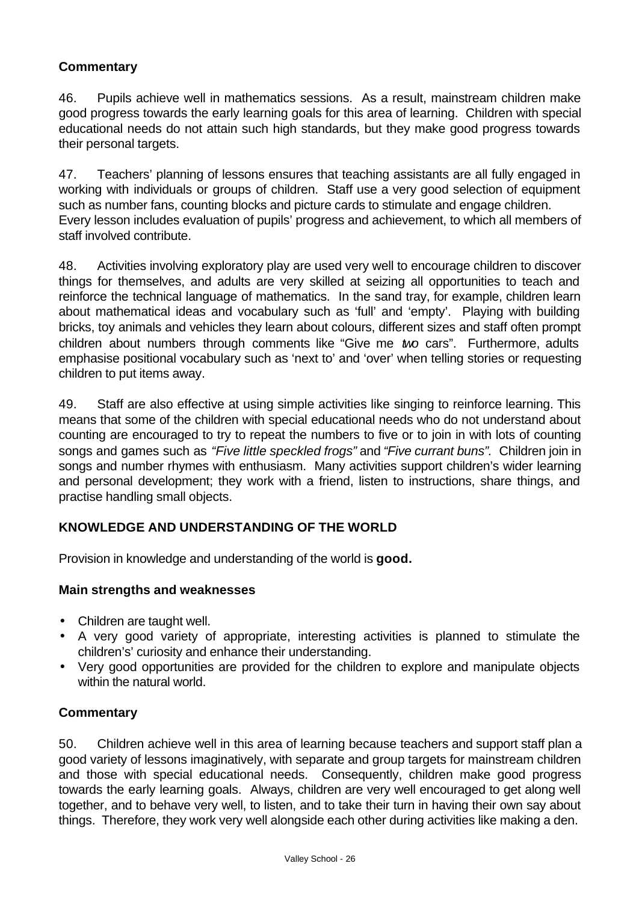## **Commentary**

46. Pupils achieve well in mathematics sessions. As a result, mainstream children make good progress towards the early learning goals for this area of learning. Children with special educational needs do not attain such high standards, but they make good progress towards their personal targets.

47. Teachers' planning of lessons ensures that teaching assistants are all fully engaged in working with individuals or groups of children. Staff use a very good selection of equipment such as number fans, counting blocks and picture cards to stimulate and engage children. Every lesson includes evaluation of pupils' progress and achievement, to which all members of staff involved contribute.

48. Activities involving exploratory play are used very well to encourage children to discover things for themselves, and adults are very skilled at seizing all opportunities to teach and reinforce the technical language of mathematics. In the sand tray, for example, children learn about mathematical ideas and vocabulary such as 'full' and 'empty'. Playing with building bricks, toy animals and vehicles they learn about colours, different sizes and staff often prompt children about numbers through comments like "Give me *two* cars". Furthermore, adults emphasise positional vocabulary such as 'next to' and 'over' when telling stories or requesting children to put items away.

49. Staff are also effective at using simple activities like singing to reinforce learning. This means that some of the children with special educational needs who do not understand about counting are encouraged to try to repeat the numbers to five or to join in with lots of counting songs and games such as *"Five little speckled frogs"* and *"Five currant buns".* Children join in songs and number rhymes with enthusiasm. Many activities support children's wider learning and personal development; they work with a friend, listen to instructions, share things, and practise handling small objects.

## **KNOWLEDGE AND UNDERSTANDING OF THE WORLD**

Provision in knowledge and understanding of the world is **good.**

#### **Main strengths and weaknesses**

- Children are taught well.
- A very good variety of appropriate, interesting activities is planned to stimulate the children's' curiosity and enhance their understanding.
- Very good opportunities are provided for the children to explore and manipulate objects within the natural world.

## **Commentary**

50. Children achieve well in this area of learning because teachers and support staff plan a good variety of lessons imaginatively, with separate and group targets for mainstream children and those with special educational needs. Consequently, children make good progress towards the early learning goals. Always, children are very well encouraged to get along well together, and to behave very well, to listen, and to take their turn in having their own say about things. Therefore, they work very well alongside each other during activities like making a den.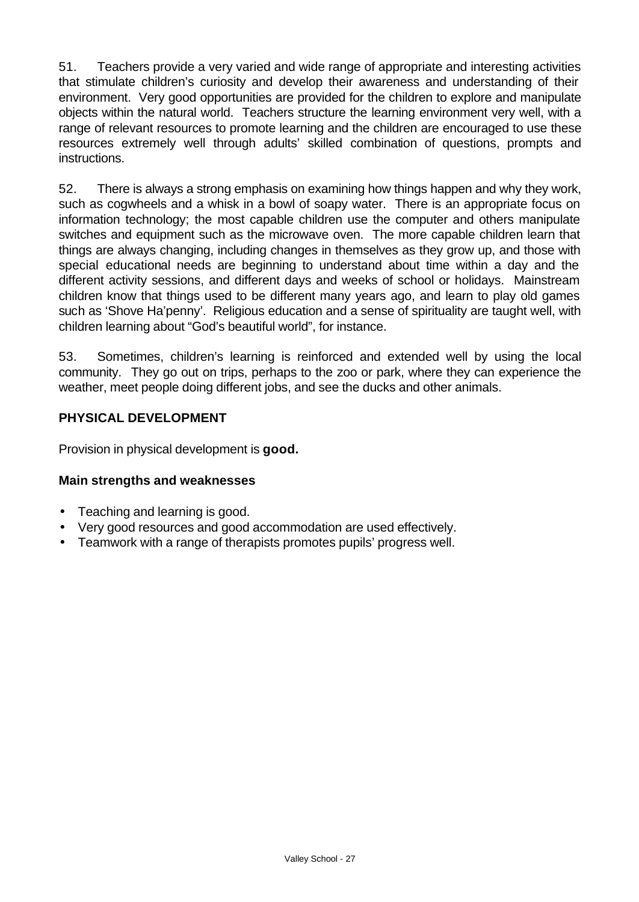51. Teachers provide a very varied and wide range of appropriate and interesting activities that stimulate children's curiosity and develop their awareness and understanding of their environment. Very good opportunities are provided for the children to explore and manipulate objects within the natural world. Teachers structure the learning environment very well, with a range of relevant resources to promote learning and the children are encouraged to use these resources extremely well through adults' skilled combination of questions, prompts and instructions.

52. There is always a strong emphasis on examining how things happen and why they work, such as cogwheels and a whisk in a bowl of soapy water. There is an appropriate focus on information technology; the most capable children use the computer and others manipulate switches and equipment such as the microwave oven. The more capable children learn that things are always changing, including changes in themselves as they grow up, and those with special educational needs are beginning to understand about time within a day and the different activity sessions, and different days and weeks of school or holidays. Mainstream children know that things used to be different many years ago, and learn to play old games such as 'Shove Ha'penny'. Religious education and a sense of spirituality are taught well, with children learning about "God's beautiful world", for instance.

53. Sometimes, children's learning is reinforced and extended well by using the local community. They go out on trips, perhaps to the zoo or park, where they can experience the weather, meet people doing different jobs, and see the ducks and other animals.

## **PHYSICAL DEVELOPMENT**

Provision in physical development is **good.**

## **Main strengths and weaknesses**

- Teaching and learning is good.
- Very good resources and good accommodation are used effectively.
- Teamwork with a range of therapists promotes pupils' progress well.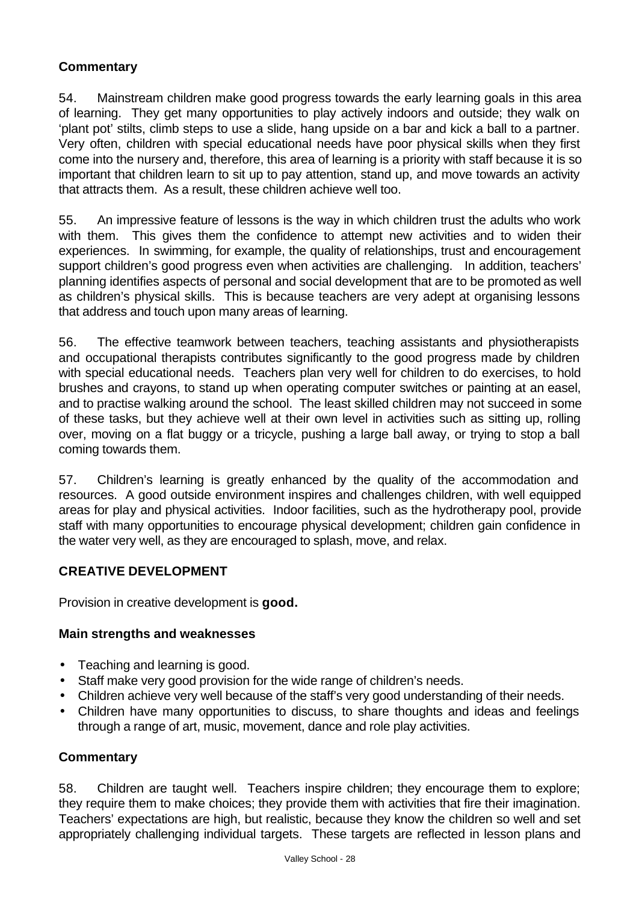## **Commentary**

54. Mainstream children make good progress towards the early learning goals in this area of learning. They get many opportunities to play actively indoors and outside; they walk on 'plant pot' stilts, climb steps to use a slide, hang upside on a bar and kick a ball to a partner. Very often, children with special educational needs have poor physical skills when they first come into the nursery and, therefore, this area of learning is a priority with staff because it is so important that children learn to sit up to pay attention, stand up, and move towards an activity that attracts them. As a result, these children achieve well too.

55. An impressive feature of lessons is the way in which children trust the adults who work with them. This gives them the confidence to attempt new activities and to widen their experiences. In swimming, for example, the quality of relationships, trust and encouragement support children's good progress even when activities are challenging. In addition, teachers' planning identifies aspects of personal and social development that are to be promoted as well as children's physical skills. This is because teachers are very adept at organising lessons that address and touch upon many areas of learning.

56. The effective teamwork between teachers, teaching assistants and physiotherapists and occupational therapists contributes significantly to the good progress made by children with special educational needs. Teachers plan very well for children to do exercises, to hold brushes and crayons, to stand up when operating computer switches or painting at an easel, and to practise walking around the school. The least skilled children may not succeed in some of these tasks, but they achieve well at their own level in activities such as sitting up, rolling over, moving on a flat buggy or a tricycle, pushing a large ball away, or trying to stop a ball coming towards them.

57. Children's learning is greatly enhanced by the quality of the accommodation and resources. A good outside environment inspires and challenges children, with well equipped areas for play and physical activities. Indoor facilities, such as the hydrotherapy pool, provide staff with many opportunities to encourage physical development; children gain confidence in the water very well, as they are encouraged to splash, move, and relax.

## **CREATIVE DEVELOPMENT**

Provision in creative development is **good.**

## **Main strengths and weaknesses**

- Teaching and learning is good.
- Staff make very good provision for the wide range of children's needs.
- Children achieve very well because of the staff's very good understanding of their needs.
- Children have many opportunities to discuss, to share thoughts and ideas and feelings through a range of art, music, movement, dance and role play activities.

#### **Commentary**

58. Children are taught well. Teachers inspire children; they encourage them to explore; they require them to make choices; they provide them with activities that fire their imagination. Teachers' expectations are high, but realistic, because they know the children so well and set appropriately challenging individual targets. These targets are reflected in lesson plans and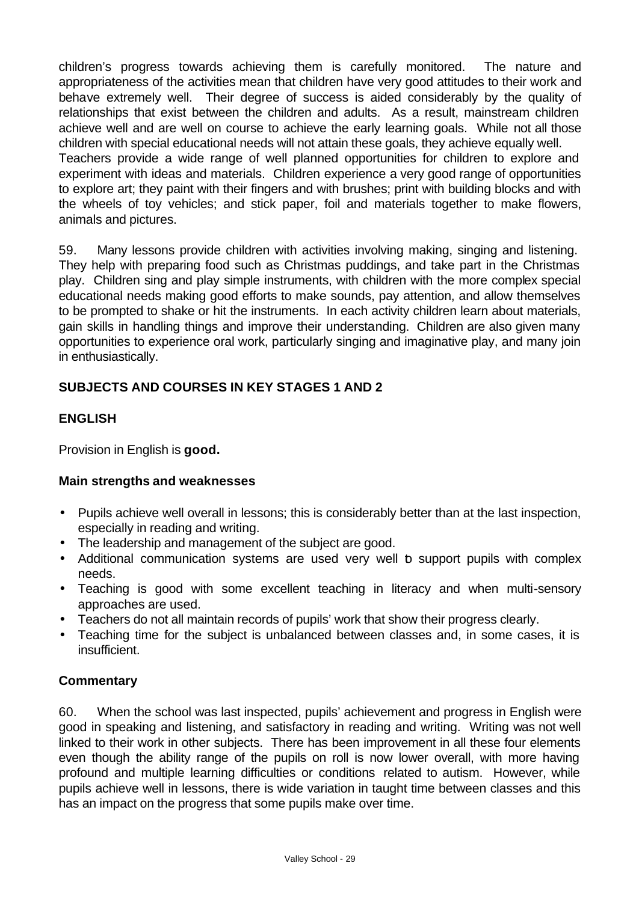children's progress towards achieving them is carefully monitored. The nature and appropriateness of the activities mean that children have very good attitudes to their work and behave extremely well. Their degree of success is aided considerably by the quality of relationships that exist between the children and adults. As a result, mainstream children achieve well and are well on course to achieve the early learning goals. While not all those children with special educational needs will not attain these goals, they achieve equally well. Teachers provide a wide range of well planned opportunities for children to explore and experiment with ideas and materials. Children experience a very good range of opportunities to explore art; they paint with their fingers and with brushes; print with building blocks and with the wheels of toy vehicles; and stick paper, foil and materials together to make flowers, animals and pictures.

59. Many lessons provide children with activities involving making, singing and listening. They help with preparing food such as Christmas puddings, and take part in the Christmas play. Children sing and play simple instruments, with children with the more complex special educational needs making good efforts to make sounds, pay attention, and allow themselves to be prompted to shake or hit the instruments. In each activity children learn about materials, gain skills in handling things and improve their understanding. Children are also given many opportunities to experience oral work, particularly singing and imaginative play, and many join in enthusiastically.

## **SUBJECTS AND COURSES IN KEY STAGES 1 AND 2**

#### **ENGLISH**

Provision in English is **good.**

#### **Main strengths and weaknesses**

- Pupils achieve well overall in lessons; this is considerably better than at the last inspection, especially in reading and writing.
- The leadership and management of the subject are good.
- Additional communication systems are used very well b support pupils with complex needs.
- Teaching is good with some excellent teaching in literacy and when multi-sensory approaches are used.
- Teachers do not all maintain records of pupils' work that show their progress clearly.
- Teaching time for the subject is unbalanced between classes and, in some cases, it is insufficient.

#### **Commentary**

60. When the school was last inspected, pupils' achievement and progress in English were good in speaking and listening, and satisfactory in reading and writing. Writing was not well linked to their work in other subjects. There has been improvement in all these four elements even though the ability range of the pupils on roll is now lower overall, with more having profound and multiple learning difficulties or conditions related to autism. However, while pupils achieve well in lessons, there is wide variation in taught time between classes and this has an impact on the progress that some pupils make over time.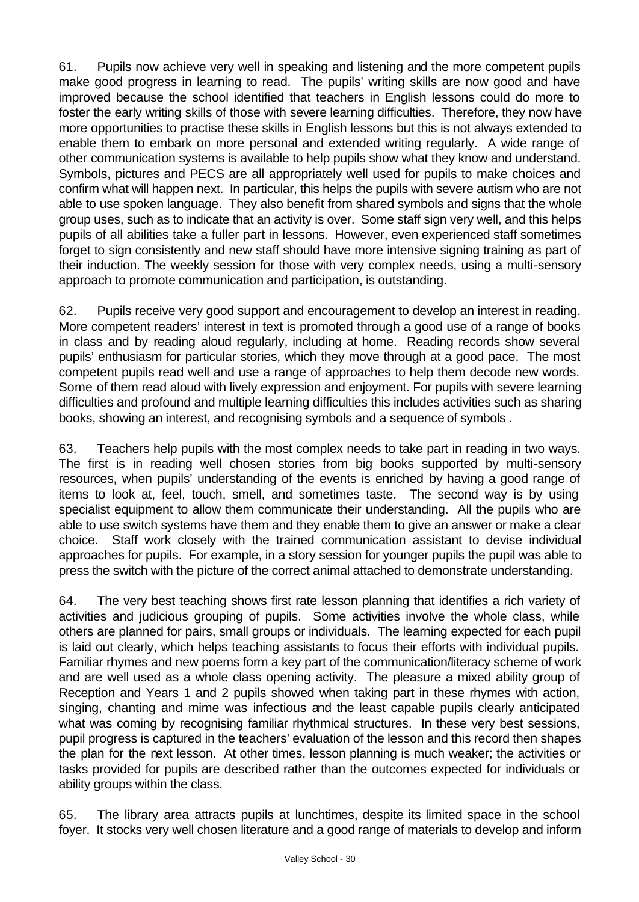61. Pupils now achieve very well in speaking and listening and the more competent pupils make good progress in learning to read. The pupils' writing skills are now good and have improved because the school identified that teachers in English lessons could do more to foster the early writing skills of those with severe learning difficulties. Therefore, they now have more opportunities to practise these skills in English lessons but this is not always extended to enable them to embark on more personal and extended writing regularly. A wide range of other communication systems is available to help pupils show what they know and understand. Symbols, pictures and PECS are all appropriately well used for pupils to make choices and confirm what will happen next. In particular, this helps the pupils with severe autism who are not able to use spoken language. They also benefit from shared symbols and signs that the whole group uses, such as to indicate that an activity is over. Some staff sign very well, and this helps pupils of all abilities take a fuller part in lessons. However, even experienced staff sometimes forget to sign consistently and new staff should have more intensive signing training as part of their induction. The weekly session for those with very complex needs, using a multi-sensory approach to promote communication and participation, is outstanding.

62. Pupils receive very good support and encouragement to develop an interest in reading. More competent readers' interest in text is promoted through a good use of a range of books in class and by reading aloud regularly, including at home. Reading records show several pupils' enthusiasm for particular stories, which they move through at a good pace. The most competent pupils read well and use a range of approaches to help them decode new words. Some of them read aloud with lively expression and enjoyment. For pupils with severe learning difficulties and profound and multiple learning difficulties this includes activities such as sharing books, showing an interest, and recognising symbols and a sequence of symbols .

63. Teachers help pupils with the most complex needs to take part in reading in two ways. The first is in reading well chosen stories from big books supported by multi-sensory resources, when pupils' understanding of the events is enriched by having a good range of items to look at, feel, touch, smell, and sometimes taste. The second way is by using specialist equipment to allow them communicate their understanding. All the pupils who are able to use switch systems have them and they enable them to give an answer or make a clear choice. Staff work closely with the trained communication assistant to devise individual approaches for pupils. For example, in a story session for younger pupils the pupil was able to press the switch with the picture of the correct animal attached to demonstrate understanding.

64. The very best teaching shows first rate lesson planning that identifies a rich variety of activities and judicious grouping of pupils. Some activities involve the whole class, while others are planned for pairs, small groups or individuals. The learning expected for each pupil is laid out clearly, which helps teaching assistants to focus their efforts with individual pupils. Familiar rhymes and new poems form a key part of the communication/literacy scheme of work and are well used as a whole class opening activity. The pleasure a mixed ability group of Reception and Years 1 and 2 pupils showed when taking part in these rhymes with action, singing, chanting and mime was infectious and the least capable pupils clearly anticipated what was coming by recognising familiar rhythmical structures. In these very best sessions, pupil progress is captured in the teachers' evaluation of the lesson and this record then shapes the plan for the next lesson. At other times, lesson planning is much weaker; the activities or tasks provided for pupils are described rather than the outcomes expected for individuals or ability groups within the class.

65. The library area attracts pupils at lunchtimes, despite its limited space in the school foyer. It stocks very well chosen literature and a good range of materials to develop and inform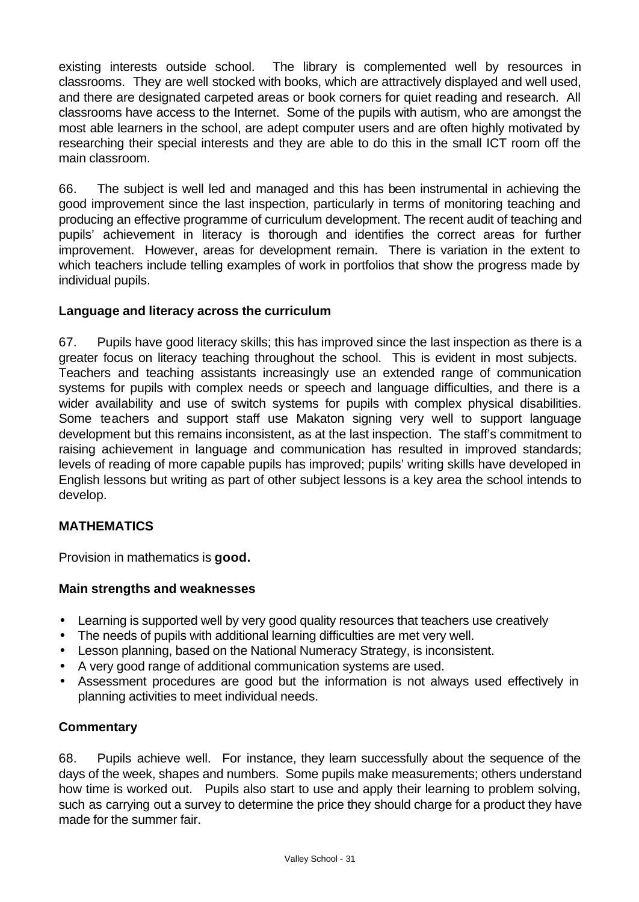existing interests outside school. The library is complemented well by resources in classrooms. They are well stocked with books, which are attractively displayed and well used, and there are designated carpeted areas or book corners for quiet reading and research. All classrooms have access to the Internet. Some of the pupils with autism, who are amongst the most able learners in the school, are adept computer users and are often highly motivated by researching their special interests and they are able to do this in the small ICT room off the main classroom.

66. The subject is well led and managed and this has been instrumental in achieving the good improvement since the last inspection, particularly in terms of monitoring teaching and producing an effective programme of curriculum development. The recent audit of teaching and pupils' achievement in literacy is thorough and identifies the correct areas for further improvement. However, areas for development remain. There is variation in the extent to which teachers include telling examples of work in portfolios that show the progress made by individual pupils.

#### **Language and literacy across the curriculum**

67. Pupils have good literacy skills; this has improved since the last inspection as there is a greater focus on literacy teaching throughout the school. This is evident in most subjects. Teachers and teaching assistants increasingly use an extended range of communication systems for pupils with complex needs or speech and language difficulties, and there is a wider availability and use of switch systems for pupils with complex physical disabilities. Some teachers and support staff use Makaton signing very well to support language development but this remains inconsistent, as at the last inspection. The staff's commitment to raising achievement in language and communication has resulted in improved standards; levels of reading of more capable pupils has improved; pupils' writing skills have developed in English lessons but writing as part of other subject lessons is a key area the school intends to develop.

## **MATHEMATICS**

Provision in mathematics is **good.**

#### **Main strengths and weaknesses**

- Learning is supported well by very good quality resources that teachers use creatively
- The needs of pupils with additional learning difficulties are met very well.
- Lesson planning, based on the National Numeracy Strategy, is inconsistent.
- A very good range of additional communication systems are used.
- Assessment procedures are good but the information is not always used effectively in planning activities to meet individual needs.

#### **Commentary**

68. Pupils achieve well. For instance, they learn successfully about the sequence of the days of the week, shapes and numbers. Some pupils make measurements; others understand how time is worked out. Pupils also start to use and apply their learning to problem solving, such as carrying out a survey to determine the price they should charge for a product they have made for the summer fair.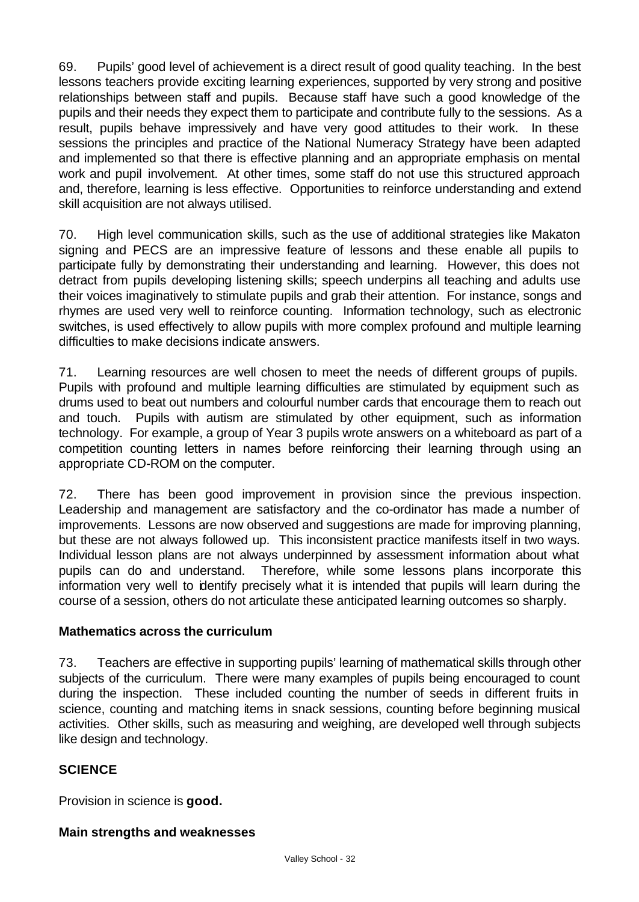69. Pupils' good level of achievement is a direct result of good quality teaching. In the best lessons teachers provide exciting learning experiences, supported by very strong and positive relationships between staff and pupils. Because staff have such a good knowledge of the pupils and their needs they expect them to participate and contribute fully to the sessions. As a result, pupils behave impressively and have very good attitudes to their work. In these sessions the principles and practice of the National Numeracy Strategy have been adapted and implemented so that there is effective planning and an appropriate emphasis on mental work and pupil involvement. At other times, some staff do not use this structured approach and, therefore, learning is less effective. Opportunities to reinforce understanding and extend skill acquisition are not always utilised.

70. High level communication skills, such as the use of additional strategies like Makaton signing and PECS are an impressive feature of lessons and these enable all pupils to participate fully by demonstrating their understanding and learning. However, this does not detract from pupils developing listening skills; speech underpins all teaching and adults use their voices imaginatively to stimulate pupils and grab their attention. For instance, songs and rhymes are used very well to reinforce counting. Information technology, such as electronic switches, is used effectively to allow pupils with more complex profound and multiple learning difficulties to make decisions indicate answers.

71. Learning resources are well chosen to meet the needs of different groups of pupils. Pupils with profound and multiple learning difficulties are stimulated by equipment such as drums used to beat out numbers and colourful number cards that encourage them to reach out and touch. Pupils with autism are stimulated by other equipment, such as information technology. For example, a group of Year 3 pupils wrote answers on a whiteboard as part of a competition counting letters in names before reinforcing their learning through using an appropriate CD-ROM on the computer.

72. There has been good improvement in provision since the previous inspection. Leadership and management are satisfactory and the co-ordinator has made a number of improvements. Lessons are now observed and suggestions are made for improving planning, but these are not always followed up. This inconsistent practice manifests itself in two ways. Individual lesson plans are not always underpinned by assessment information about what pupils can do and understand. Therefore, while some lessons plans incorporate this information very well to identify precisely what it is intended that pupils will learn during the course of a session, others do not articulate these anticipated learning outcomes so sharply.

#### **Mathematics across the curriculum**

73. Teachers are effective in supporting pupils' learning of mathematical skills through other subjects of the curriculum. There were many examples of pupils being encouraged to count during the inspection. These included counting the number of seeds in different fruits in science, counting and matching items in snack sessions, counting before beginning musical activities. Other skills, such as measuring and weighing, are developed well through subjects like design and technology.

## **SCIENCE**

Provision in science is **good.**

#### **Main strengths and weaknesses**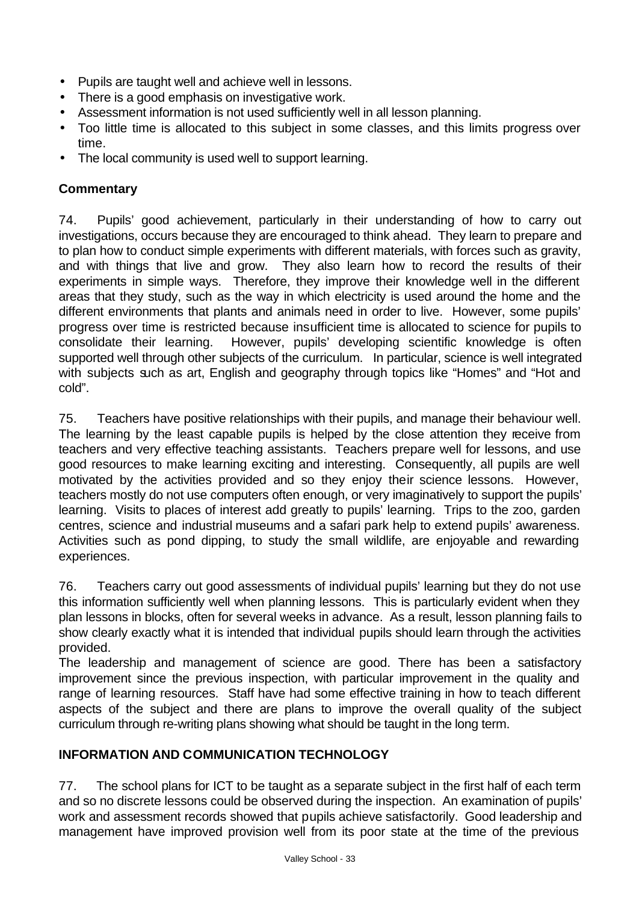- Pupils are taught well and achieve well in lessons.
- There is a good emphasis on investigative work.
- Assessment information is not used sufficiently well in all lesson planning.
- Too little time is allocated to this subject in some classes, and this limits progress over time.
- The local community is used well to support learning.

## **Commentary**

74. Pupils' good achievement, particularly in their understanding of how to carry out investigations, occurs because they are encouraged to think ahead. They learn to prepare and to plan how to conduct simple experiments with different materials, with forces such as gravity, and with things that live and grow. They also learn how to record the results of their experiments in simple ways. Therefore, they improve their knowledge well in the different areas that they study, such as the way in which electricity is used around the home and the different environments that plants and animals need in order to live. However, some pupils' progress over time is restricted because insufficient time is allocated to science for pupils to consolidate their learning. However, pupils' developing scientific knowledge is often supported well through other subjects of the curriculum. In particular, science is well integrated with subjects such as art, English and geography through topics like "Homes" and "Hot and cold".

75. Teachers have positive relationships with their pupils, and manage their behaviour well. The learning by the least capable pupils is helped by the close attention they receive from teachers and very effective teaching assistants. Teachers prepare well for lessons, and use good resources to make learning exciting and interesting. Consequently, all pupils are well motivated by the activities provided and so they enjoy their science lessons. However, teachers mostly do not use computers often enough, or very imaginatively to support the pupils' learning. Visits to places of interest add greatly to pupils' learning. Trips to the zoo, garden centres, science and industrial museums and a safari park help to extend pupils' awareness. Activities such as pond dipping, to study the small wildlife, are enjoyable and rewarding experiences.

76. Teachers carry out good assessments of individual pupils' learning but they do not use this information sufficiently well when planning lessons. This is particularly evident when they plan lessons in blocks, often for several weeks in advance. As a result, lesson planning fails to show clearly exactly what it is intended that individual pupils should learn through the activities provided.

The leadership and management of science are good. There has been a satisfactory improvement since the previous inspection, with particular improvement in the quality and range of learning resources. Staff have had some effective training in how to teach different aspects of the subject and there are plans to improve the overall quality of the subject curriculum through re-writing plans showing what should be taught in the long term.

## **INFORMATION AND COMMUNICATION TECHNOLOGY**

77. The school plans for ICT to be taught as a separate subject in the first half of each term and so no discrete lessons could be observed during the inspection. An examination of pupils' work and assessment records showed that pupils achieve satisfactorily. Good leadership and management have improved provision well from its poor state at the time of the previous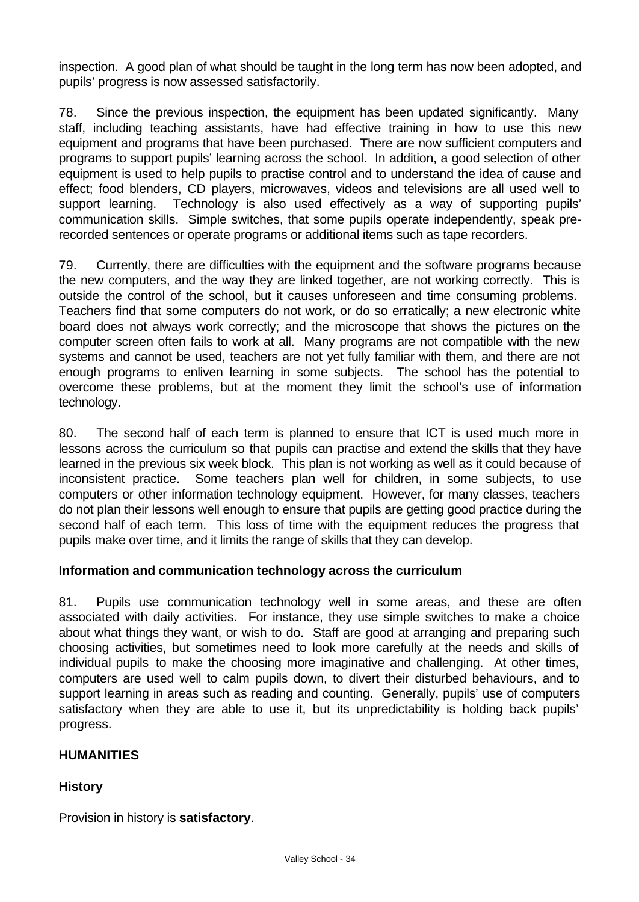inspection. A good plan of what should be taught in the long term has now been adopted, and pupils' progress is now assessed satisfactorily.

78. Since the previous inspection, the equipment has been updated significantly. Many staff, including teaching assistants, have had effective training in how to use this new equipment and programs that have been purchased. There are now sufficient computers and programs to support pupils' learning across the school. In addition, a good selection of other equipment is used to help pupils to practise control and to understand the idea of cause and effect; food blenders, CD players, microwaves, videos and televisions are all used well to support learning. Technology is also used effectively as a way of supporting pupils' communication skills. Simple switches, that some pupils operate independently, speak prerecorded sentences or operate programs or additional items such as tape recorders.

79. Currently, there are difficulties with the equipment and the software programs because the new computers, and the way they are linked together, are not working correctly. This is outside the control of the school, but it causes unforeseen and time consuming problems. Teachers find that some computers do not work, or do so erratically; a new electronic white board does not always work correctly; and the microscope that shows the pictures on the computer screen often fails to work at all. Many programs are not compatible with the new systems and cannot be used, teachers are not yet fully familiar with them, and there are not enough programs to enliven learning in some subjects. The school has the potential to overcome these problems, but at the moment they limit the school's use of information technology.

80. The second half of each term is planned to ensure that ICT is used much more in lessons across the curriculum so that pupils can practise and extend the skills that they have learned in the previous six week block. This plan is not working as well as it could because of inconsistent practice. Some teachers plan well for children, in some subjects, to use computers or other information technology equipment. However, for many classes, teachers do not plan their lessons well enough to ensure that pupils are getting good practice during the second half of each term. This loss of time with the equipment reduces the progress that pupils make over time, and it limits the range of skills that they can develop.

#### **Information and communication technology across the curriculum**

81. Pupils use communication technology well in some areas, and these are often associated with daily activities. For instance, they use simple switches to make a choice about what things they want, or wish to do. Staff are good at arranging and preparing such choosing activities, but sometimes need to look more carefully at the needs and skills of individual pupils to make the choosing more imaginative and challenging. At other times, computers are used well to calm pupils down, to divert their disturbed behaviours, and to support learning in areas such as reading and counting. Generally, pupils' use of computers satisfactory when they are able to use it, but its unpredictability is holding back pupils' progress.

## **HUMANITIES**

## **History**

Provision in history is **satisfactory**.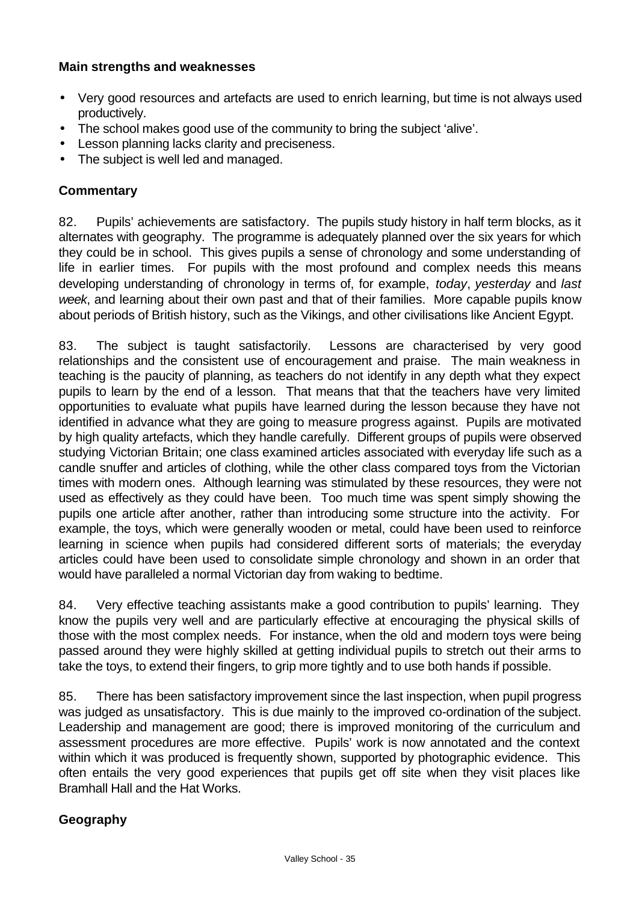#### **Main strengths and weaknesses**

- Very good resources and artefacts are used to enrich learning, but time is not always used productively.
- The school makes good use of the community to bring the subject 'alive'.
- Lesson planning lacks clarity and preciseness.
- The subject is well led and managed.

## **Commentary**

82. Pupils' achievements are satisfactory. The pupils study history in half term blocks, as it alternates with geography. The programme is adequately planned over the six years for which they could be in school. This gives pupils a sense of chronology and some understanding of life in earlier times. For pupils with the most profound and complex needs this means developing understanding of chronology in terms of, for example, *today*, *yesterday* and *last week*, and learning about their own past and that of their families. More capable pupils know about periods of British history, such as the Vikings, and other civilisations like Ancient Egypt.

83. The subject is taught satisfactorily. Lessons are characterised by very good relationships and the consistent use of encouragement and praise. The main weakness in teaching is the paucity of planning, as teachers do not identify in any depth what they expect pupils to learn by the end of a lesson. That means that that the teachers have very limited opportunities to evaluate what pupils have learned during the lesson because they have not identified in advance what they are going to measure progress against. Pupils are motivated by high quality artefacts, which they handle carefully. Different groups of pupils were observed studying Victorian Britain; one class examined articles associated with everyday life such as a candle snuffer and articles of clothing, while the other class compared toys from the Victorian times with modern ones. Although learning was stimulated by these resources, they were not used as effectively as they could have been. Too much time was spent simply showing the pupils one article after another, rather than introducing some structure into the activity. For example, the toys, which were generally wooden or metal, could have been used to reinforce learning in science when pupils had considered different sorts of materials; the everyday articles could have been used to consolidate simple chronology and shown in an order that would have paralleled a normal Victorian day from waking to bedtime.

84. Very effective teaching assistants make a good contribution to pupils' learning. They know the pupils very well and are particularly effective at encouraging the physical skills of those with the most complex needs. For instance, when the old and modern toys were being passed around they were highly skilled at getting individual pupils to stretch out their arms to take the toys, to extend their fingers, to grip more tightly and to use both hands if possible.

85. There has been satisfactory improvement since the last inspection, when pupil progress was judged as unsatisfactory. This is due mainly to the improved co-ordination of the subject. Leadership and management are good; there is improved monitoring of the curriculum and assessment procedures are more effective. Pupils' work is now annotated and the context within which it was produced is frequently shown, supported by photographic evidence. This often entails the very good experiences that pupils get off site when they visit places like Bramhall Hall and the Hat Works.

## **Geography**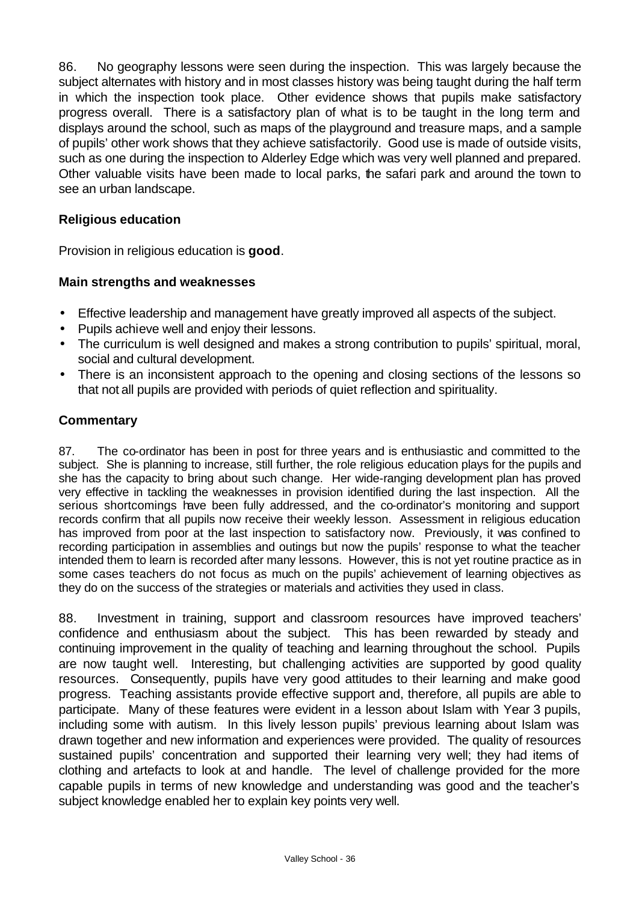86. No geography lessons were seen during the inspection. This was largely because the subject alternates with history and in most classes history was being taught during the half term in which the inspection took place. Other evidence shows that pupils make satisfactory progress overall. There is a satisfactory plan of what is to be taught in the long term and displays around the school, such as maps of the playground and treasure maps, and a sample of pupils' other work shows that they achieve satisfactorily. Good use is made of outside visits, such as one during the inspection to Alderley Edge which was very well planned and prepared. Other valuable visits have been made to local parks, the safari park and around the town to see an urban landscape.

#### **Religious education**

Provision in religious education is **good**.

#### **Main strengths and weaknesses**

- Effective leadership and management have greatly improved all aspects of the subject.
- Pupils achieve well and enjoy their lessons.
- The curriculum is well designed and makes a strong contribution to pupils' spiritual, moral, social and cultural development.
- There is an inconsistent approach to the opening and closing sections of the lessons so that not all pupils are provided with periods of quiet reflection and spirituality.

#### **Commentary**

87. The co-ordinator has been in post for three years and is enthusiastic and committed to the subject. She is planning to increase, still further, the role religious education plays for the pupils and she has the capacity to bring about such change. Her wide-ranging development plan has proved very effective in tackling the weaknesses in provision identified during the last inspection. All the serious shortcomings have been fully addressed, and the co-ordinator's monitoring and support records confirm that all pupils now receive their weekly lesson. Assessment in religious education has improved from poor at the last inspection to satisfactory now. Previously, it was confined to recording participation in assemblies and outings but now the pupils' response to what the teacher intended them to learn is recorded after many lessons. However, this is not yet routine practice as in some cases teachers do not focus as much on the pupils' achievement of learning objectives as they do on the success of the strategies or materials and activities they used in class.

88. Investment in training, support and classroom resources have improved teachers' confidence and enthusiasm about the subject. This has been rewarded by steady and continuing improvement in the quality of teaching and learning throughout the school. Pupils are now taught well. Interesting, but challenging activities are supported by good quality resources. Consequently, pupils have very good attitudes to their learning and make good progress. Teaching assistants provide effective support and, therefore, all pupils are able to participate. Many of these features were evident in a lesson about Islam with Year 3 pupils, including some with autism. In this lively lesson pupils' previous learning about Islam was drawn together and new information and experiences were provided. The quality of resources sustained pupils' concentration and supported their learning very well; they had items of clothing and artefacts to look at and handle. The level of challenge provided for the more capable pupils in terms of new knowledge and understanding was good and the teacher's subject knowledge enabled her to explain key points very well.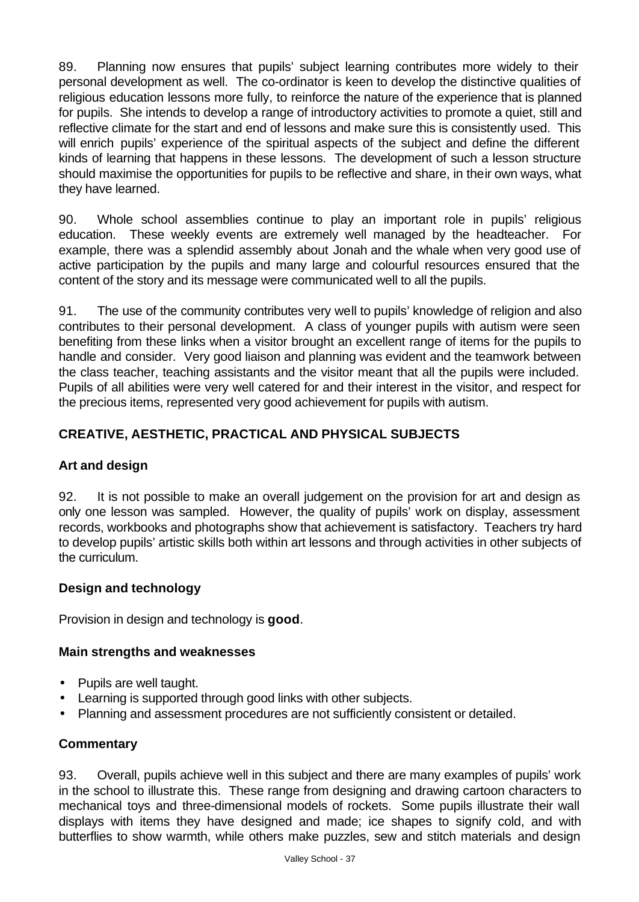89. Planning now ensures that pupils' subject learning contributes more widely to their personal development as well. The co-ordinator is keen to develop the distinctive qualities of religious education lessons more fully, to reinforce the nature of the experience that is planned for pupils. She intends to develop a range of introductory activities to promote a quiet, still and reflective climate for the start and end of lessons and make sure this is consistently used. This will enrich pupils' experience of the spiritual aspects of the subject and define the different kinds of learning that happens in these lessons. The development of such a lesson structure should maximise the opportunities for pupils to be reflective and share, in their own ways, what they have learned.

90. Whole school assemblies continue to play an important role in pupils' religious education. These weekly events are extremely well managed by the headteacher. For example, there was a splendid assembly about Jonah and the whale when very good use of active participation by the pupils and many large and colourful resources ensured that the content of the story and its message were communicated well to all the pupils.

91. The use of the community contributes very well to pupils' knowledge of religion and also contributes to their personal development. A class of younger pupils with autism were seen benefiting from these links when a visitor brought an excellent range of items for the pupils to handle and consider. Very good liaison and planning was evident and the teamwork between the class teacher, teaching assistants and the visitor meant that all the pupils were included. Pupils of all abilities were very well catered for and their interest in the visitor, and respect for the precious items, represented very good achievement for pupils with autism.

## **CREATIVE, AESTHETIC, PRACTICAL AND PHYSICAL SUBJECTS**

#### **Art and design**

92. It is not possible to make an overall judgement on the provision for art and design as only one lesson was sampled. However, the quality of pupils' work on display, assessment records, workbooks and photographs show that achievement is satisfactory. Teachers try hard to develop pupils' artistic skills both within art lessons and through activities in other subjects of the curriculum.

#### **Design and technology**

Provision in design and technology is **good**.

#### **Main strengths and weaknesses**

- Pupils are well taught.
- Learning is supported through good links with other subjects.
- Planning and assessment procedures are not sufficiently consistent or detailed.

## **Commentary**

93. Overall, pupils achieve well in this subject and there are many examples of pupils' work in the school to illustrate this. These range from designing and drawing cartoon characters to mechanical toys and three-dimensional models of rockets. Some pupils illustrate their wall displays with items they have designed and made; ice shapes to signify cold, and with butterflies to show warmth, while others make puzzles, sew and stitch materials and design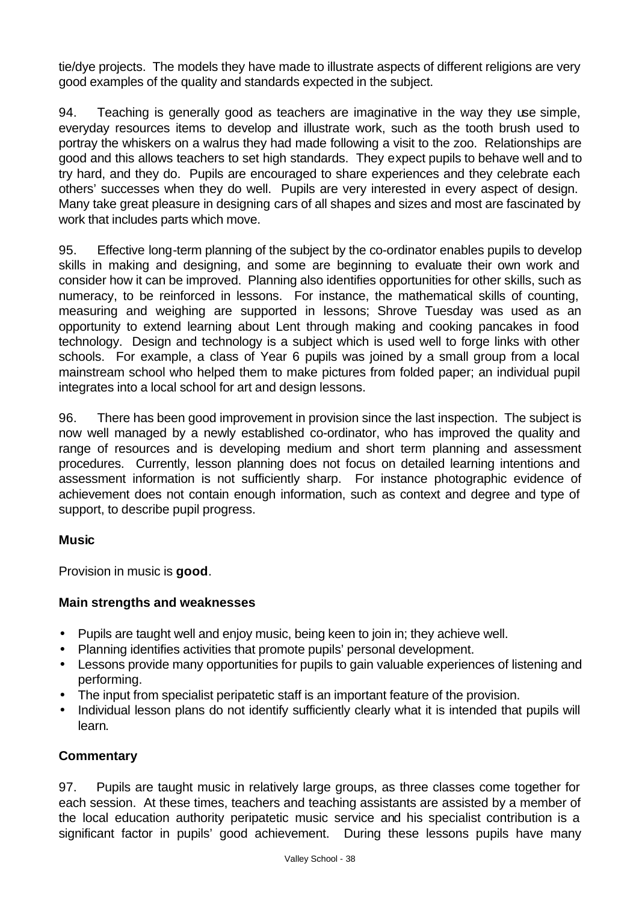tie/dye projects. The models they have made to illustrate aspects of different religions are very good examples of the quality and standards expected in the subject.

94. Teaching is generally good as teachers are imaginative in the way they use simple, everyday resources items to develop and illustrate work, such as the tooth brush used to portray the whiskers on a walrus they had made following a visit to the zoo. Relationships are good and this allows teachers to set high standards. They expect pupils to behave well and to try hard, and they do. Pupils are encouraged to share experiences and they celebrate each others' successes when they do well. Pupils are very interested in every aspect of design. Many take great pleasure in designing cars of all shapes and sizes and most are fascinated by work that includes parts which move.

95. Effective long-term planning of the subject by the co-ordinator enables pupils to develop skills in making and designing, and some are beginning to evaluate their own work and consider how it can be improved. Planning also identifies opportunities for other skills, such as numeracy, to be reinforced in lessons. For instance, the mathematical skills of counting, measuring and weighing are supported in lessons; Shrove Tuesday was used as an opportunity to extend learning about Lent through making and cooking pancakes in food technology. Design and technology is a subject which is used well to forge links with other schools. For example, a class of Year 6 pupils was joined by a small group from a local mainstream school who helped them to make pictures from folded paper; an individual pupil integrates into a local school for art and design lessons.

96. There has been good improvement in provision since the last inspection. The subject is now well managed by a newly established co-ordinator, who has improved the quality and range of resources and is developing medium and short term planning and assessment procedures. Currently, lesson planning does not focus on detailed learning intentions and assessment information is not sufficiently sharp. For instance photographic evidence of achievement does not contain enough information, such as context and degree and type of support, to describe pupil progress.

## **Music**

Provision in music is **good**.

#### **Main strengths and weaknesses**

- Pupils are taught well and enjoy music, being keen to join in; they achieve well.
- Planning identifies activities that promote pupils' personal development.
- Lessons provide many opportunities for pupils to gain valuable experiences of listening and performing.
- The input from specialist peripatetic staff is an important feature of the provision.
- Individual lesson plans do not identify sufficiently clearly what it is intended that pupils will learn.

## **Commentary**

97. Pupils are taught music in relatively large groups, as three classes come together for each session. At these times, teachers and teaching assistants are assisted by a member of the local education authority peripatetic music service and his specialist contribution is a significant factor in pupils' good achievement. During these lessons pupils have many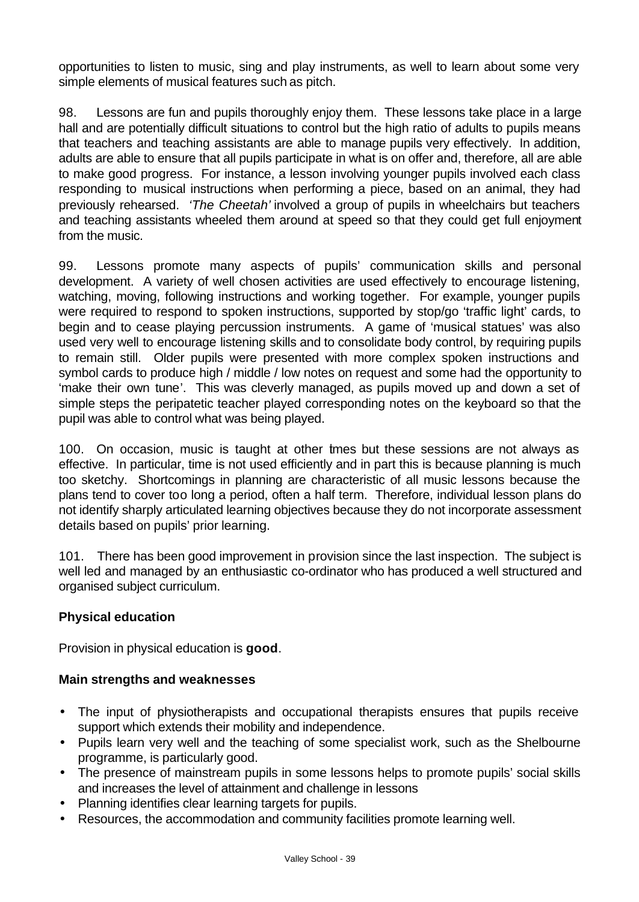opportunities to listen to music, sing and play instruments, as well to learn about some very simple elements of musical features such as pitch.

98. Lessons are fun and pupils thoroughly enjoy them. These lessons take place in a large hall and are potentially difficult situations to control but the high ratio of adults to pupils means that teachers and teaching assistants are able to manage pupils very effectively. In addition, adults are able to ensure that all pupils participate in what is on offer and, therefore, all are able to make good progress. For instance, a lesson involving younger pupils involved each class responding to musical instructions when performing a piece, based on an animal, they had previously rehearsed. *'The Cheetah'* involved a group of pupils in wheelchairs but teachers and teaching assistants wheeled them around at speed so that they could get full enjoyment from the music.

99. Lessons promote many aspects of pupils' communication skills and personal development. A variety of well chosen activities are used effectively to encourage listening, watching, moving, following instructions and working together. For example, younger pupils were required to respond to spoken instructions, supported by stop/go 'traffic light' cards, to begin and to cease playing percussion instruments. A game of 'musical statues' was also used very well to encourage listening skills and to consolidate body control, by requiring pupils to remain still. Older pupils were presented with more complex spoken instructions and symbol cards to produce high / middle / low notes on request and some had the opportunity to 'make their own tune'. This was cleverly managed, as pupils moved up and down a set of simple steps the peripatetic teacher played corresponding notes on the keyboard so that the pupil was able to control what was being played.

100. On occasion, music is taught at other times but these sessions are not always as effective. In particular, time is not used efficiently and in part this is because planning is much too sketchy. Shortcomings in planning are characteristic of all music lessons because the plans tend to cover too long a period, often a half term. Therefore, individual lesson plans do not identify sharply articulated learning objectives because they do not incorporate assessment details based on pupils' prior learning.

101. There has been good improvement in provision since the last inspection. The subject is well led and managed by an enthusiastic co-ordinator who has produced a well structured and organised subject curriculum.

## **Physical education**

Provision in physical education is **good**.

#### **Main strengths and weaknesses**

- The input of physiotherapists and occupational therapists ensures that pupils receive support which extends their mobility and independence.
- Pupils learn very well and the teaching of some specialist work, such as the Shelbourne programme, is particularly good.
- The presence of mainstream pupils in some lessons helps to promote pupils' social skills and increases the level of attainment and challenge in lessons
- Planning identifies clear learning targets for pupils.
- Resources, the accommodation and community facilities promote learning well.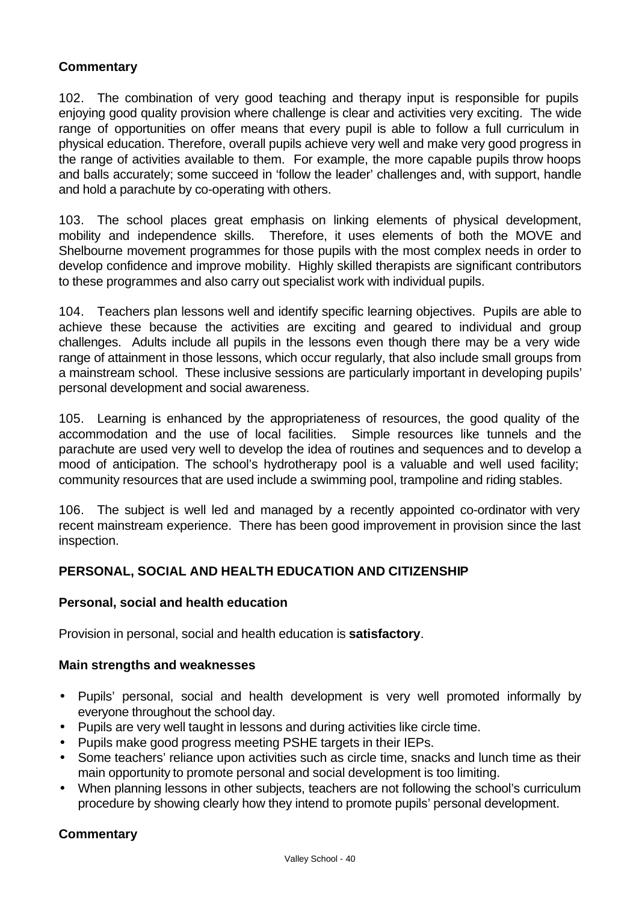#### **Commentary**

102. The combination of very good teaching and therapy input is responsible for pupils enjoying good quality provision where challenge is clear and activities very exciting. The wide range of opportunities on offer means that every pupil is able to follow a full curriculum in physical education. Therefore, overall pupils achieve very well and make very good progress in the range of activities available to them. For example, the more capable pupils throw hoops and balls accurately; some succeed in 'follow the leader' challenges and, with support, handle and hold a parachute by co-operating with others.

103. The school places great emphasis on linking elements of physical development, mobility and independence skills. Therefore, it uses elements of both the MOVE and Shelbourne movement programmes for those pupils with the most complex needs in order to develop confidence and improve mobility. Highly skilled therapists are significant contributors to these programmes and also carry out specialist work with individual pupils.

104. Teachers plan lessons well and identify specific learning objectives. Pupils are able to achieve these because the activities are exciting and geared to individual and group challenges. Adults include all pupils in the lessons even though there may be a very wide range of attainment in those lessons, which occur regularly, that also include small groups from a mainstream school. These inclusive sessions are particularly important in developing pupils' personal development and social awareness.

105. Learning is enhanced by the appropriateness of resources, the good quality of the accommodation and the use of local facilities. Simple resources like tunnels and the parachute are used very well to develop the idea of routines and sequences and to develop a mood of anticipation. The school's hydrotherapy pool is a valuable and well used facility; community resources that are used include a swimming pool, trampoline and riding stables.

106. The subject is well led and managed by a recently appointed co-ordinator with very recent mainstream experience. There has been good improvement in provision since the last inspection.

#### **PERSONAL, SOCIAL AND HEALTH EDUCATION AND CITIZENSHIP**

#### **Personal, social and health education**

Provision in personal, social and health education is **satisfactory**.

#### **Main strengths and weaknesses**

- Pupils' personal, social and health development is very well promoted informally by everyone throughout the school day.
- Pupils are very well taught in lessons and during activities like circle time.
- Pupils make good progress meeting PSHE targets in their IEPs.
- Some teachers' reliance upon activities such as circle time, snacks and lunch time as their main opportunity to promote personal and social development is too limiting.
- When planning lessons in other subjects, teachers are not following the school's curriculum procedure by showing clearly how they intend to promote pupils' personal development.

#### **Commentary**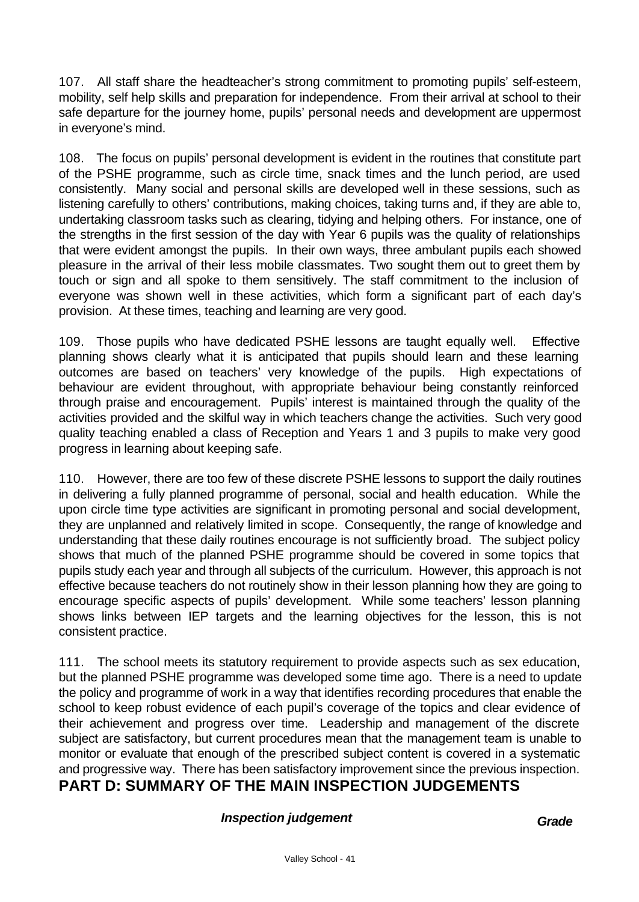107. All staff share the headteacher's strong commitment to promoting pupils' self-esteem, mobility, self help skills and preparation for independence. From their arrival at school to their safe departure for the journey home, pupils' personal needs and development are uppermost in everyone's mind.

108. The focus on pupils' personal development is evident in the routines that constitute part of the PSHE programme, such as circle time, snack times and the lunch period, are used consistently. Many social and personal skills are developed well in these sessions, such as listening carefully to others' contributions, making choices, taking turns and, if they are able to, undertaking classroom tasks such as clearing, tidying and helping others. For instance, one of the strengths in the first session of the day with Year 6 pupils was the quality of relationships that were evident amongst the pupils. In their own ways, three ambulant pupils each showed pleasure in the arrival of their less mobile classmates. Two sought them out to greet them by touch or sign and all spoke to them sensitively. The staff commitment to the inclusion of everyone was shown well in these activities, which form a significant part of each day's provision. At these times, teaching and learning are very good.

109. Those pupils who have dedicated PSHE lessons are taught equally well. Effective planning shows clearly what it is anticipated that pupils should learn and these learning outcomes are based on teachers' very knowledge of the pupils. High expectations of behaviour are evident throughout, with appropriate behaviour being constantly reinforced through praise and encouragement. Pupils' interest is maintained through the quality of the activities provided and the skilful way in which teachers change the activities. Such very good quality teaching enabled a class of Reception and Years 1 and 3 pupils to make very good progress in learning about keeping safe.

110. However, there are too few of these discrete PSHE lessons to support the daily routines in delivering a fully planned programme of personal, social and health education. While the upon circle time type activities are significant in promoting personal and social development, they are unplanned and relatively limited in scope. Consequently, the range of knowledge and understanding that these daily routines encourage is not sufficiently broad. The subject policy shows that much of the planned PSHE programme should be covered in some topics that pupils study each year and through all subjects of the curriculum. However, this approach is not effective because teachers do not routinely show in their lesson planning how they are going to encourage specific aspects of pupils' development. While some teachers' lesson planning shows links between IEP targets and the learning objectives for the lesson, this is not consistent practice.

111. The school meets its statutory requirement to provide aspects such as sex education, but the planned PSHE programme was developed some time ago. There is a need to update the policy and programme of work in a way that identifies recording procedures that enable the school to keep robust evidence of each pupil's coverage of the topics and clear evidence of their achievement and progress over time. Leadership and management of the discrete subject are satisfactory, but current procedures mean that the management team is unable to monitor or evaluate that enough of the prescribed subject content is covered in a systematic and progressive way. There has been satisfactory improvement since the previous inspection.

# **PART D: SUMMARY OF THE MAIN INSPECTION JUDGEMENTS**

## **Inspection judgement Grade**